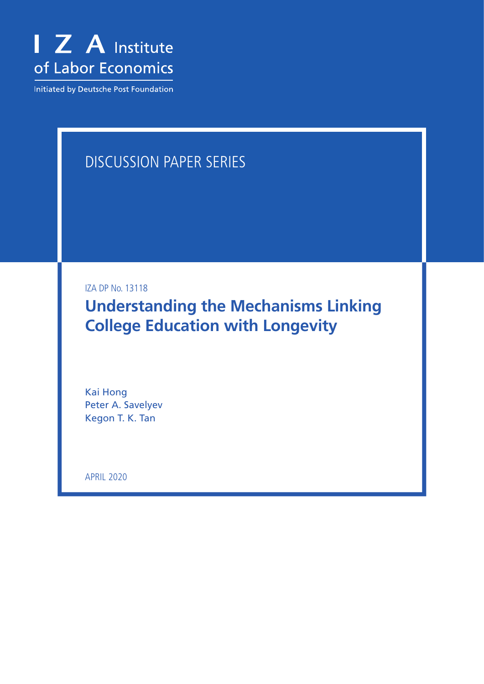

Initiated by Deutsche Post Foundation

# DISCUSSION PAPER SERIES

IZA DP No. 13118

**Understanding the Mechanisms Linking College Education with Longevity**

Kai Hong Peter A. Savelyev Kegon T. K. Tan

APRIL 2020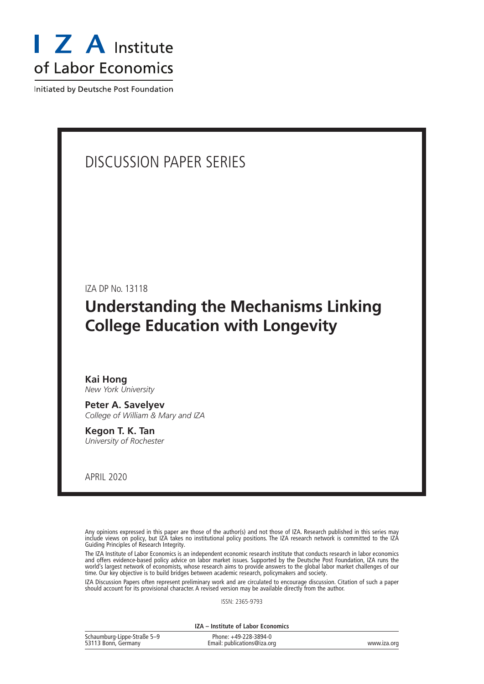

Initiated by Deutsche Post Foundation

## DISCUSSION PAPER SERIES

IZA DP No. 13118

## **Understanding the Mechanisms Linking College Education with Longevity**

#### **Kai Hong** *New York University*

**Peter A. Savelyev** *College of William & Mary and IZA*

**Kegon T. K. Tan** *University of Rochester*

APRIL 2020

Any opinions expressed in this paper are those of the author(s) and not those of IZA. Research published in this series may include views on policy, but IZA takes no institutional policy positions. The IZA research network is committed to the IZA Guiding Principles of Research Integrity.

The IZA Institute of Labor Economics is an independent economic research institute that conducts research in labor economics and offers evidence-based policy advice on labor market issues. Supported by the Deutsche Post Foundation, IZA runs the world's largest network of economists, whose research aims to provide answers to the global labor market challenges of our time. Our key objective is to build bridges between academic research, policymakers and society.

IZA Discussion Papers often represent preliminary work and are circulated to encourage discussion. Citation of such a paper should account for its provisional character. A revised version may be available directly from the author.

ISSN: 2365-9793

**IZA – Institute of Labor Economics**

| Schaumburg-Lippe-Straße 5-9 | Phone: +49-228-3894-0       |             |
|-----------------------------|-----------------------------|-------------|
| 53113 Bonn, Germany         | Email: publications@iza.org | www.iza.org |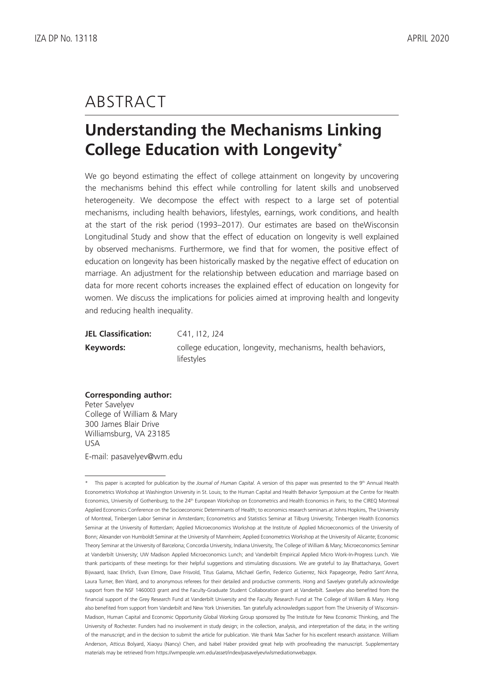## ABSTRACT

# **Understanding the Mechanisms Linking College Education with Longevity\***

We go beyond estimating the effect of college attainment on longevity by uncovering the mechanisms behind this effect while controlling for latent skills and unobserved heterogeneity. We decompose the effect with respect to a large set of potential mechanisms, including health behaviors, lifestyles, earnings, work conditions, and health at the start of the risk period (1993–2017). Our estimates are based on theWisconsin Longitudinal Study and show that the effect of education on longevity is well explained by observed mechanisms. Furthermore, we find that for women, the positive effect of education on longevity has been historically masked by the negative effect of education on marriage. An adjustment for the relationship between education and marriage based on data for more recent cohorts increases the explained effect of education on longevity for women. We discuss the implications for policies aimed at improving health and longevity and reducing health inequality.

| <b>JEL Classification:</b> | C41, I12, J24                                               |
|----------------------------|-------------------------------------------------------------|
| Keywords:                  | college education, longevity, mechanisms, health behaviors, |
|                            | lifestyles                                                  |

### **Corresponding author:**

Peter Savelyev College of William & Mary 300 James Blair Drive Williamsburg, VA 23185 USA E-mail: pasavelyev@wm.edu

<sup>\*</sup> This paper is accepted for publication by the *Journal of Human Capital*. A version of this paper was presented to the 9<sup>th</sup> Annual Health Econometrics Workshop at Washington University in St. Louis; to the Human Capital and Health Behavior Symposium at the Centre for Health Economics, University of Gothenburg; to the 24<sup>th</sup> European Workshop on Econometrics and Health Economics in Paris; to the CIREQ Montreal Applied Economics Conference on the Socioeconomic Determinants of Health; to economics research seminars at Johns Hopkins, The University of Montreal, Tinbergen Labor Seminar in Amsterdam; Econometrics and Statistics Seminar at Tilburg University; Tinbergen Health Economics Seminar at the University of Rotterdam; Applied Microeconomics Workshop at the Institute of Applied Microeconomics of the University of Bonn; Alexander von Humboldt Seminar at the University of Mannheim; Applied Econometrics Workshop at the University of Alicante; Economic Theory Seminar at the University of Barcelona; Concordia University, Indiana University, The College of William & Mary; Microeconomics Seminar at Vanderbilt University; UW Madison Applied Microeconomics Lunch; and Vanderbilt Empirical Applied Micro Work-In-Progress Lunch. We thank participants of these meetings for their helpful suggestions and stimulating discussions. We are grateful to Jay Bhattacharya, Govert Bijwaard, Isaac Ehrlich, Evan Elmore, Dave Frisvold, Titus Galama, Michael Gerfin, Federico Gutierrez, Nick Papageorge, Pedro Sant'Anna, Laura Turner, Ben Ward, and to anonymous referees for their detailed and productive comments. Hong and Savelyev gratefully acknowledge support from the NSF 1460003 grant and the Faculty-Graduate Student Collaboration grant at Vanderbilt. Savelyev also benefited from the financial support of the Grey Research Fund at Vanderbilt University and the Faculty Research Fund at The College of William & Mary. Hong also benefited from support from Vanderbilt and New York Universities. Tan gratefully acknowledges support from The University of Wisconsin-Madison, Human Capital and Economic Opportunity Global Working Group sponsored by The Institute for New Economic Thinking, and The University of Rochester. Funders had no involvement in study design; in the collection, analysis, and interpretation of the data; in the writing of the manuscript; and in the decision to submit the article for publication. We thank Max Sacher for his excellent research assistance. William Anderson, Atticus Bolyard, Xiaoyu (Nancy) Chen, and Isabel Haber provided great help with proofreading the manuscript. Supplementary materials may be retrieved from https://wmpeople.wm.edu/asset/index/pasavelyev/wlsmediationwebappx.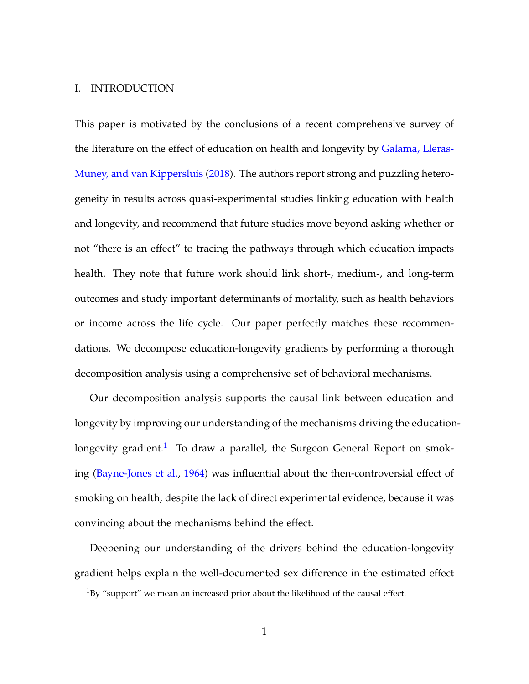#### I. INTRODUCTION

This paper is motivated by the conclusions of a recent comprehensive survey of the literature on the effect of education on health and longevity by [Galama, Lleras-](#page-43-0)[Muney, and van Kippersluis](#page-43-0) [\(2018\)](#page-43-0). The authors report strong and puzzling heterogeneity in results across quasi-experimental studies linking education with health and longevity, and recommend that future studies move beyond asking whether or not "there is an effect" to tracing the pathways through which education impacts health. They note that future work should link short-, medium-, and long-term outcomes and study important determinants of mortality, such as health behaviors or income across the life cycle. Our paper perfectly matches these recommendations. We decompose education-longevity gradients by performing a thorough decomposition analysis using a comprehensive set of behavioral mechanisms.

Our decomposition analysis supports the causal link between education and longevity by improving our understanding of the mechanisms driving the education-longevity gradient.<sup>[1](#page--1-0)</sup> To draw a parallel, the Surgeon General Report on smoking [\(Bayne-Jones et al.,](#page-42-0) [1964\)](#page-42-0) was influential about the then-controversial effect of smoking on health, despite the lack of direct experimental evidence, because it was convincing about the mechanisms behind the effect.

Deepening our understanding of the drivers behind the education-longevity gradient helps explain the well-documented sex difference in the estimated effect

 $1$ By "support" we mean an increased prior about the likelihood of the causal effect.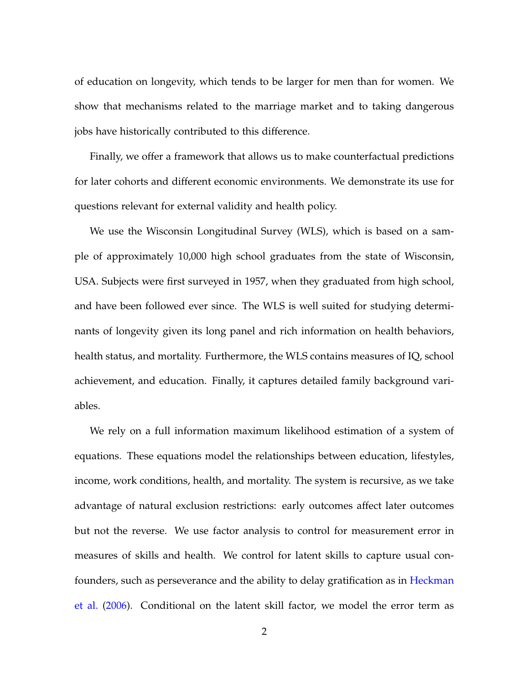of education on longevity, which tends to be larger for men than for women. We show that mechanisms related to the marriage market and to taking dangerous jobs have historically contributed to this difference.

Finally, we offer a framework that allows us to make counterfactual predictions for later cohorts and different economic environments. We demonstrate its use for questions relevant for external validity and health policy.

We use the Wisconsin Longitudinal Survey (WLS), which is based on a sample of approximately 10,000 high school graduates from the state of Wisconsin, USA. Subjects were first surveyed in 1957, when they graduated from high school, and have been followed ever since. The WLS is well suited for studying determinants of longevity given its long panel and rich information on health behaviors, health status, and mortality. Furthermore, the WLS contains measures of IQ, school achievement, and education. Finally, it captures detailed family background variables.

We rely on a full information maximum likelihood estimation of a system of equations. These equations model the relationships between education, lifestyles, income, work conditions, health, and mortality. The system is recursive, as we take advantage of natural exclusion restrictions: early outcomes affect later outcomes but not the reverse. We use factor analysis to control for measurement error in measures of skills and health. We control for latent skills to capture usual confounders, such as perseverance and the ability to delay gratification as in [Heckman](#page-44-0) [et al.](#page-44-0) [\(2006\)](#page-44-0). Conditional on the latent skill factor, we model the error term as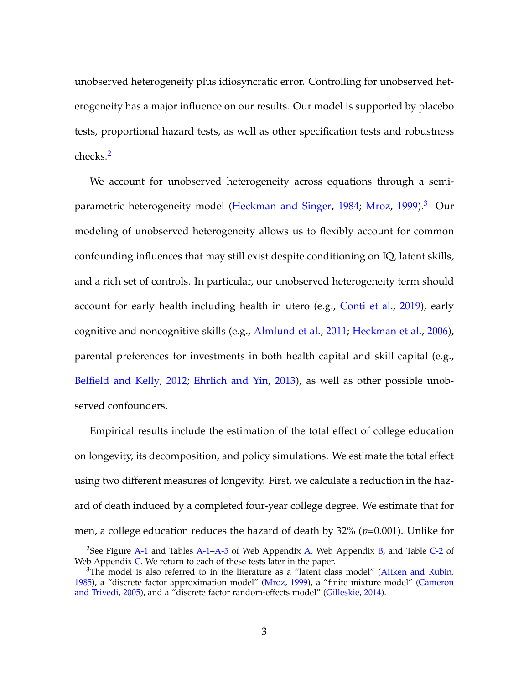unobserved heterogeneity plus idiosyncratic error. Controlling for unobserved heterogeneity has a major influence on our results. Our model is supported by placebo tests, proportional hazard tests, as well as other specification tests and robustness checks.[2](#page--1-0)

We account for unobserved heterogeneity across equations through a semi-parametric heterogeneity model [\(Heckman and Singer,](#page-44-1) [1984;](#page-44-1) [Mroz,](#page-45-0) [1999\)](#page-45-0).<sup>[3](#page--1-0)</sup> Our modeling of unobserved heterogeneity allows us to flexibly account for common confounding influences that may still exist despite conditioning on IQ, latent skills, and a rich set of controls. In particular, our unobserved heterogeneity term should account for early health including health in utero (e.g., [Conti et al.,](#page-43-1) [2019\)](#page-43-1), early cognitive and noncognitive skills (e.g., [Almlund et al.,](#page-41-0) [2011;](#page-41-0) [Heckman et al.,](#page-44-0) [2006\)](#page-44-0), parental preferences for investments in both health capital and skill capital (e.g., [Belfield and Kelly,](#page-42-1) [2012;](#page-42-1) [Ehrlich and Yin,](#page-43-2) [2013\)](#page-43-2), as well as other possible unobserved confounders.

Empirical results include the estimation of the total effect of college education on longevity, its decomposition, and policy simulations. We estimate the total effect using two different measures of longevity. First, we calculate a reduction in the hazard of death induced by a completed four-year college degree. We estimate that for men, a college education reduces the hazard of death by 32% (*p*=0.001). Unlike for

<sup>&</sup>lt;sup>2</sup>See Figure [A-1](#page--1-0) and Tables [A-1–A-5](#page--1-0) of Web Appendix [A,](#page--1-0) Web Appendix [B,](#page--1-0) and Table [C-2](#page--1-0) of Web Appendix [C.](#page--1-0) We return to each of these tests later in the paper.

 $3$ The model is also referred to in the literature as a "latent class model" [\(Aitken and Rubin,](#page-41-1) [1985\)](#page-41-1), a "discrete factor approximation model" [\(Mroz,](#page-45-0) [1999\)](#page-45-0), a "finite mixture model" [\(Cameron](#page-42-2) [and Trivedi,](#page-42-2) [2005\)](#page-42-2), and a "discrete factor random-effects model" [\(Gilleskie,](#page-43-3) [2014\)](#page-43-3).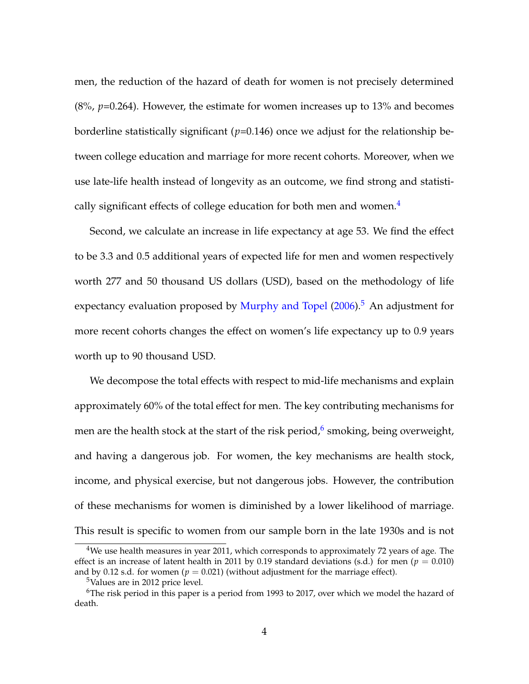men, the reduction of the hazard of death for women is not precisely determined (8%, *p*=0.264). However, the estimate for women increases up to 13% and becomes borderline statistically significant (*p*=0.146) once we adjust for the relationship between college education and marriage for more recent cohorts. Moreover, when we use late-life health instead of longevity as an outcome, we find strong and statisti-cally significant effects of college education for both men and women.<sup>[4](#page--1-0)</sup>

Second, we calculate an increase in life expectancy at age 53. We find the effect to be 3.3 and 0.5 additional years of expected life for men and women respectively worth 277 and 50 thousand US dollars (USD), based on the methodology of life expectancy evaluation proposed by [Murphy and Topel](#page-46-0)  $(2006).$  $(2006).$ <sup>[5](#page--1-0)</sup> An adjustment for more recent cohorts changes the effect on women's life expectancy up to 0.9 years worth up to 90 thousand USD.

We decompose the total effects with respect to mid-life mechanisms and explain approximately 60% of the total effect for men. The key contributing mechanisms for men are the health stock at the start of the risk period, $^6$  $^6$  smoking, being overweight, and having a dangerous job. For women, the key mechanisms are health stock, income, and physical exercise, but not dangerous jobs. However, the contribution of these mechanisms for women is diminished by a lower likelihood of marriage. This result is specific to women from our sample born in the late 1930s and is not

<sup>4</sup>We use health measures in year 2011, which corresponds to approximately 72 years of age. The effect is an increase of latent health in 2011 by 0.19 standard deviations (s.d.) for men ( $p = 0.010$ ) and by 0.12 s.d. for women ( $p = 0.021$ ) (without adjustment for the marriage effect).

<sup>5</sup>Values are in 2012 price level.

 $6$ The risk period in this paper is a period from 1993 to 2017, over which we model the hazard of death.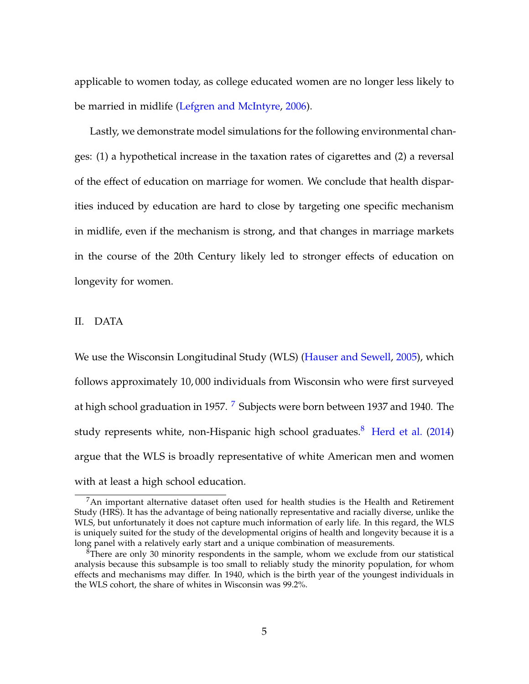applicable to women today, as college educated women are no longer less likely to be married in midlife [\(Lefgren and McIntyre,](#page-45-1) [2006\)](#page-45-1).

Lastly, we demonstrate model simulations for the following environmental changes: (1) a hypothetical increase in the taxation rates of cigarettes and (2) a reversal of the effect of education on marriage for women. We conclude that health disparities induced by education are hard to close by targeting one specific mechanism in midlife, even if the mechanism is strong, and that changes in marriage markets in the course of the 20th Century likely led to stronger effects of education on longevity for women.

#### <span id="page-7-0"></span>II. DATA

We use the Wisconsin Longitudinal Study (WLS) [\(Hauser and Sewell,](#page-44-2) [2005\)](#page-44-2), which follows approximately 10, 000 individuals from Wisconsin who were first surveyed at high school graduation in 195[7](#page--1-0). <sup>7</sup> Subjects were born between 1937 and 1940. The study represents white, non-Hispanic high school graduates.<sup>[8](#page--1-0)</sup> [Herd et al.](#page-45-2) [\(2014\)](#page-45-2) argue that the WLS is broadly representative of white American men and women with at least a high school education.

 $7An$  important alternative dataset often used for health studies is the Health and Retirement Study (HRS). It has the advantage of being nationally representative and racially diverse, unlike the WLS, but unfortunately it does not capture much information of early life. In this regard, the WLS is uniquely suited for the study of the developmental origins of health and longevity because it is a long panel with a relatively early start and a unique combination of measurements.

 ${}^{8}$ There are only 30 minority respondents in the sample, whom we exclude from our statistical analysis because this subsample is too small to reliably study the minority population, for whom effects and mechanisms may differ. In 1940, which is the birth year of the youngest individuals in the WLS cohort, the share of whites in Wisconsin was 99.2%.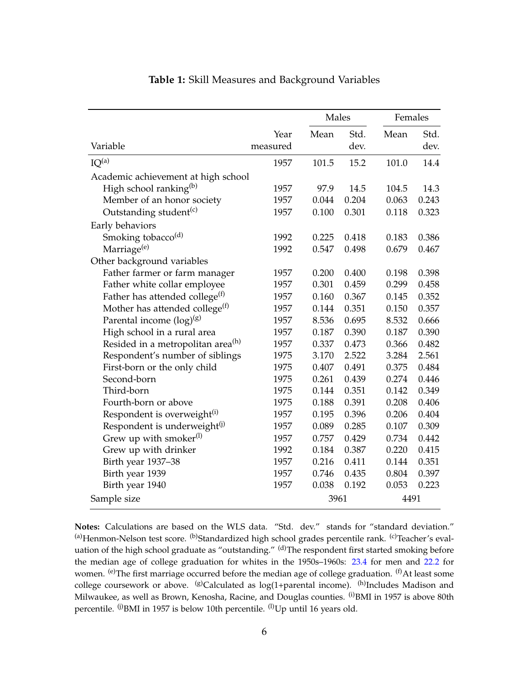<span id="page-8-0"></span>

|                                               |          | Males |       | Females |       |
|-----------------------------------------------|----------|-------|-------|---------|-------|
|                                               | Year     | Mean  | Std.  | Mean    | Std.  |
| Variable                                      | measured |       | dev.  |         | dev.  |
| IO <sup>(a)</sup>                             | 1957     | 101.5 | 15.2  | 101.0   | 14.4  |
| Academic achievement at high school           |          |       |       |         |       |
| High school ranking <sup>(b)</sup>            | 1957     | 97.9  | 14.5  | 104.5   | 14.3  |
| Member of an honor society                    | 1957     | 0.044 | 0.204 | 0.063   | 0.243 |
| Outstanding student <sup>(c)</sup>            | 1957     | 0.100 | 0.301 | 0.118   | 0.323 |
| Early behaviors                               |          |       |       |         |       |
| Smoking tobacco <sup>(d)</sup>                | 1992     | 0.225 | 0.418 | 0.183   | 0.386 |
| Marriage <sup>(e)</sup>                       | 1992     | 0.547 | 0.498 | 0.679   | 0.467 |
| Other background variables                    |          |       |       |         |       |
| Father farmer or farm manager                 | 1957     | 0.200 | 0.400 | 0.198   | 0.398 |
| Father white collar employee                  | 1957     | 0.301 | 0.459 | 0.299   | 0.458 |
| Father has attended college $(f)$             | 1957     | 0.160 | 0.367 | 0.145   | 0.352 |
| Mother has attended college <sup>(f)</sup>    | 1957     | 0.144 | 0.351 | 0.150   | 0.357 |
| Parental income $(log)^{(g)}$                 | 1957     | 8.536 | 0.695 | 8.532   | 0.666 |
| High school in a rural area                   | 1957     | 0.187 | 0.390 | 0.187   | 0.390 |
| Resided in a metropolitan area <sup>(h)</sup> | 1957     | 0.337 | 0.473 | 0.366   | 0.482 |
| Respondent's number of siblings               | 1975     | 3.170 | 2.522 | 3.284   | 2.561 |
| First-born or the only child                  | 1975     | 0.407 | 0.491 | 0.375   | 0.484 |
| Second-born                                   | 1975     | 0.261 | 0.439 | 0.274   | 0.446 |
| Third-born                                    | 1975     | 0.144 | 0.351 | 0.142   | 0.349 |
| Fourth-born or above                          | 1975     | 0.188 | 0.391 | 0.208   | 0.406 |
| Respondent is overweight <sup>(i)</sup>       | 1957     | 0.195 | 0.396 | 0.206   | 0.404 |
| Respondent is underweight <sup>(j)</sup>      | 1957     | 0.089 | 0.285 | 0.107   | 0.309 |
| Grew up with smoker $^{(1)}$                  | 1957     | 0.757 | 0.429 | 0.734   | 0.442 |
| Grew up with drinker                          | 1992     | 0.184 | 0.387 | 0.220   | 0.415 |
| Birth year 1937-38                            | 1957     | 0.216 | 0.411 | 0.144   | 0.351 |
| Birth year 1939                               | 1957     | 0.746 | 0.435 | 0.804   | 0.397 |
| Birth year 1940                               | 1957     | 0.038 | 0.192 | 0.053   | 0.223 |
| Sample size                                   |          | 3961  |       | 4491    |       |

## **Table 1:** Skill Measures and Background Variables

**Notes:** Calculations are based on the WLS data. "Std. dev." stands for "standard deviation." (a)Henmon-Nelson test score. <sup>(b)</sup>Standardized high school grades percentile rank. <sup>(c)</sup>Teacher's evaluation of the high school graduate as "outstanding." (d) The respondent first started smoking before the median age of college graduation for whites in the 1950s–1960s: [23.4](https://www.census.gov/hhes/socdemo/education/data/cps/1960/p23-09.pdf) for men and [22.2](https://www.census.gov/hhes/socdemo/education/data/cps/1960/p23-09.pdf) for women. <sup>(e)</sup>The first marriage occurred before the median age of college graduation. <sup>(f)</sup>At least some college coursework or above.  $(8)$ Calculated as log(1+parental income).  $(h)$ Includes Madison and Milwaukee, as well as Brown, Kenosha, Racine, and Douglas counties. <sup>(i)</sup>BMI in 1957 is above 80th percentile. <sup>(j)</sup>BMI in 1957 is below 10th percentile. <sup>(l)</sup>Up until 16 years old.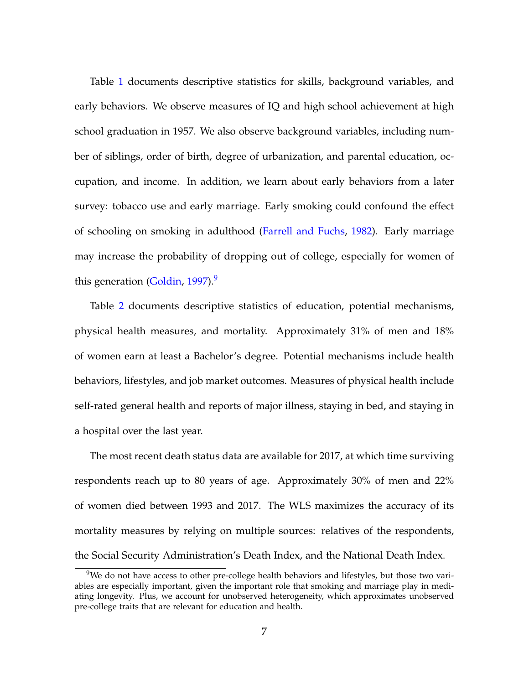Table [1](#page-8-0) documents descriptive statistics for skills, background variables, and early behaviors. We observe measures of IQ and high school achievement at high school graduation in 1957. We also observe background variables, including number of siblings, order of birth, degree of urbanization, and parental education, occupation, and income. In addition, we learn about early behaviors from a later survey: tobacco use and early marriage. Early smoking could confound the effect of schooling on smoking in adulthood [\(Farrell and Fuchs,](#page-43-4) [1982\)](#page-43-4). Early marriage may increase the probability of dropping out of college, especially for women of this generation [\(Goldin,](#page-43-5)  $1997$  $1997$  $1997$ ).<sup>9</sup>

Table [2](#page-10-0) documents descriptive statistics of education, potential mechanisms, physical health measures, and mortality. Approximately 31% of men and 18% of women earn at least a Bachelor's degree. Potential mechanisms include health behaviors, lifestyles, and job market outcomes. Measures of physical health include self-rated general health and reports of major illness, staying in bed, and staying in a hospital over the last year.

The most recent death status data are available for 2017, at which time surviving respondents reach up to 80 years of age. Approximately 30% of men and 22% of women died between 1993 and 2017. The WLS maximizes the accuracy of its mortality measures by relying on multiple sources: relatives of the respondents, the Social Security Administration's Death Index, and the National Death Index.

<sup>&</sup>lt;sup>9</sup>We do not have access to other pre-college health behaviors and lifestyles, but those two variables are especially important, given the important role that smoking and marriage play in mediating longevity. Plus, we account for unobserved heterogeneity, which approximates unobserved pre-college traits that are relevant for education and health.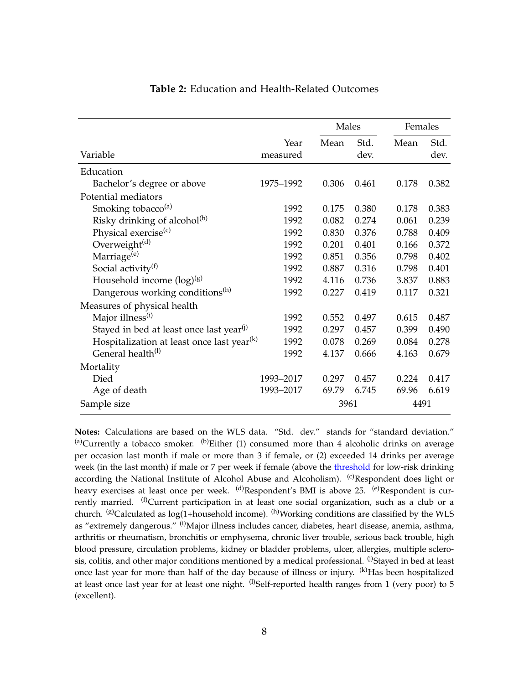<span id="page-10-0"></span>

|                                                        |                  | Males |              | Females |              |
|--------------------------------------------------------|------------------|-------|--------------|---------|--------------|
| Variable                                               | Year<br>measured | Mean  | Std.<br>dev. | Mean    | Std.<br>dev. |
| Education                                              |                  |       |              |         |              |
| Bachelor's degree or above                             | 1975-1992        | 0.306 | 0.461        | 0.178   | 0.382        |
| Potential mediators                                    |                  |       |              |         |              |
| Smoking tobacco <sup>(a)</sup>                         | 1992             | 0.175 | 0.380        | 0.178   | 0.383        |
| Risky drinking of alcohol <sup>(b)</sup>               | 1992             | 0.082 | 0.274        | 0.061   | 0.239        |
| Physical exercise <sup>(c)</sup>                       | 1992             | 0.830 | 0.376        | 0.788   | 0.409        |
| Overweight <sup>(d)</sup>                              | 1992             | 0.201 | 0.401        | 0.166   | 0.372        |
| Marriage <sup>(e)</sup>                                | 1992             | 0.851 | 0.356        | 0.798   | 0.402        |
| Social activity <sup>(f)</sup>                         | 1992             | 0.887 | 0.316        | 0.798   | 0.401        |
| Household income $(\log)^{(g)}$                        | 1992             | 4.116 | 0.736        | 3.837   | 0.883        |
| Dangerous working conditions <sup>(h)</sup>            | 1992             | 0.227 | 0.419        | 0.117   | 0.321        |
| Measures of physical health                            |                  |       |              |         |              |
| Major illness <sup>(i)</sup>                           | 1992             | 0.552 | 0.497        | 0.615   | 0.487        |
| Stayed in bed at least once last year <sup>(j)</sup>   | 1992             | 0.297 | 0.457        | 0.399   | 0.490        |
| Hospitalization at least once last year <sup>(k)</sup> | 1992             | 0.078 | 0.269        | 0.084   | 0.278        |
| General health <sup>(1)</sup>                          | 1992             | 4.137 | 0.666        | 4.163   | 0.679        |
| Mortality                                              |                  |       |              |         |              |
| Died                                                   | 1993-2017        | 0.297 | 0.457        | 0.224   | 0.417        |
| Age of death                                           | 1993-2017        | 69.79 | 6.745        | 69.96   | 6.619        |
| Sample size                                            |                  | 3961  |              | 4491    |              |

### **Table 2:** Education and Health-Related Outcomes

**Notes:** Calculations are based on the WLS data. "Std. dev." stands for "standard deviation."  $(a)$ Currently a tobacco smoker.  $(b)$ Either (1) consumed more than 4 alcoholic drinks on average per occasion last month if male or more than 3 if female, or (2) exceeded 14 drinks per average week (in the last month) if male or 7 per week if female (above the [threshold](http://www.niaaa.nih.gov/alcohol-health/overview-alcohol-consumption/moderate-binge-drinking) for low-risk drinking according the National Institute of Alcohol Abuse and Alcoholism). <sup>(c)</sup>Respondent does light or heavy exercises at least once per week. <sup>(d)</sup>Respondent's BMI is above 25. <sup>(e)</sup>Respondent is currently married.  $^{(f)}$ Current participation in at least one social organization, such as a club or a church. (g)Calculated as  $log(1+$ household income). <sup>(h)</sup>Working conditions are classified by the WLS as "extremely dangerous." (i)Major illness includes cancer, diabetes, heart disease, anemia, asthma, arthritis or rheumatism, bronchitis or emphysema, chronic liver trouble, serious back trouble, high blood pressure, circulation problems, kidney or bladder problems, ulcer, allergies, multiple sclerosis, colitis, and other major conditions mentioned by a medical professional. (i)Stayed in bed at least once last year for more than half of the day because of illness or injury. <sup>(k)</sup>Has been hospitalized at least once last year for at least one night.  $^{(l)}$ Self-reported health ranges from 1 (very poor) to 5 (excellent).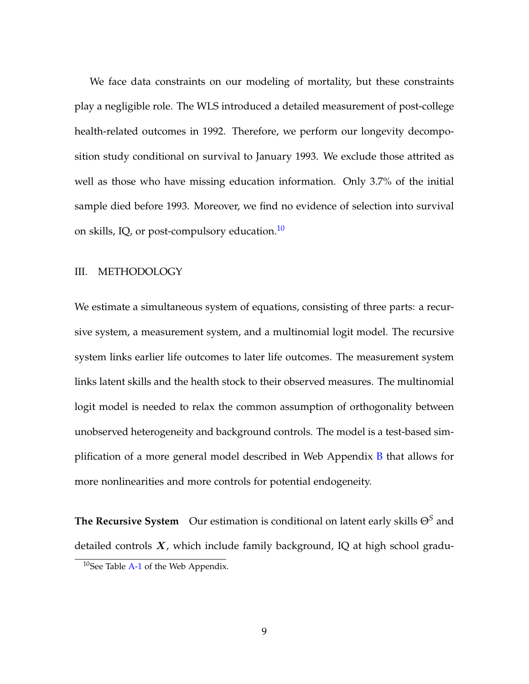We face data constraints on our modeling of mortality, but these constraints play a negligible role. The WLS introduced a detailed measurement of post-college health-related outcomes in 1992. Therefore, we perform our longevity decomposition study conditional on survival to January 1993. We exclude those attrited as well as those who have missing education information. Only 3.7% of the initial sample died before 1993. Moreover, we find no evidence of selection into survival on skills, IQ, or post-compulsory education. $10$ 

### <span id="page-11-0"></span>III. METHODOLOGY

We estimate a simultaneous system of equations, consisting of three parts: a recursive system, a measurement system, and a multinomial logit model. The recursive system links earlier life outcomes to later life outcomes. The measurement system links latent skills and the health stock to their observed measures. The multinomial logit model is needed to relax the common assumption of orthogonality between unobserved heterogeneity and background controls. The model is a test-based simplification of a more general model described in Web Appendix [B](#page--1-0) that allows for more nonlinearities and more controls for potential endogeneity.

**The Recursive System** Our estimation is conditional on latent early skills Θ*<sup>S</sup>* and detailed controls  $X$ , which include family background, IQ at high school gradu-

 $10$ See Table [A-1](#page--1-0) of the Web Appendix.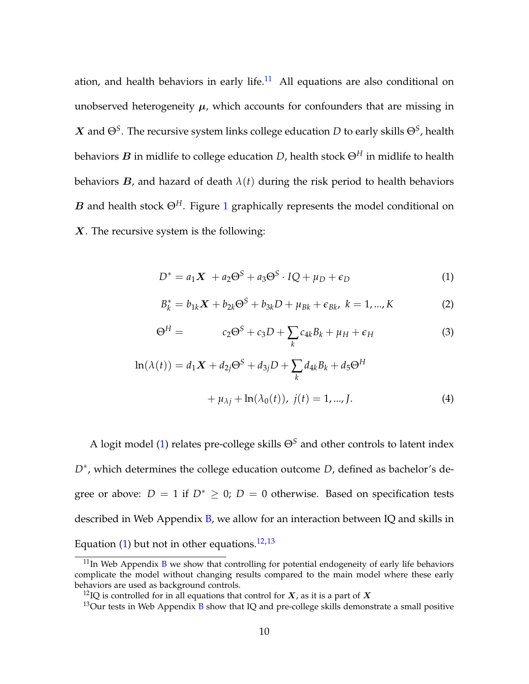ation, and health behaviors in early life. $11$  All equations are also conditional on unobserved heterogeneity  $\mu$ , which accounts for confounders that are missing in  $\bm{X}$  and  $\Theta^S.$  The recursive system links college education  $D$  to early skills  $\Theta^S$ , health behaviors B in midlife to college education *D*, health stock Θ*<sup>H</sup>* in midlife to health behaviors  $B$ , and hazard of death  $\lambda(t)$  during the risk period to health behaviors B and health stock  $\Theta^H$ . Figure [1](#page-13-0) graphically represents the model conditional on X. The recursive system is the following:

<span id="page-12-0"></span>
$$
D^* = a_1 X + a_2 \Theta^S + a_3 \Theta^S \cdot IQ + \mu_D + \epsilon_D \tag{1}
$$

<span id="page-12-2"></span><span id="page-12-1"></span>
$$
B_k^* = b_{1k}X + b_{2k}\Theta^S + b_{3k}D + \mu_{Bk} + \epsilon_{Bk}, \ k = 1, ..., K
$$
 (2)

<span id="page-12-3"></span>
$$
\Theta^H = c_2 \Theta^S + c_3 D + \sum_k c_{4k} B_k + \mu_H + \epsilon_H \tag{3}
$$

$$
\ln(\lambda(t)) = d_1 X + d_{2j} \Theta^S + d_{3j} D + \sum_k d_{4k} B_k + d_5 \Theta^H
$$
  
+  $\mu_{\lambda j} + \ln(\lambda_0(t)), \ j(t) = 1, ..., J.$  (4)

A logit model [\(1\)](#page-12-0) relates pre-college skills  $\Theta^S$  and other controls to latent index *D*∗ , which determines the college education outcome *D*, defined as bachelor's degree or above:  $D = 1$  if  $D^* \geq 0$ ;  $D = 0$  otherwise. Based on specification tests described in Web Appendix [B,](#page--1-0) we allow for an interaction between IQ and skills in Equation [\(1\)](#page-12-0) but not in other equations.<sup>[12,13](#page--1-0)</sup>

 $11$ In Web Appendix [B](#page--1-0) we show that controlling for potential endogeneity of early life behaviors complicate the model without changing results compared to the main model where these early behaviors are used as background controls.

<sup>&</sup>lt;sup>12</sup>IQ is controlled for in all equations that control for  $X$ , as it is a part of X

<sup>&</sup>lt;sup>13</sup>Our tests in Web Appendix [B](#page--1-0) show that IQ and pre-college skills demonstrate a small positive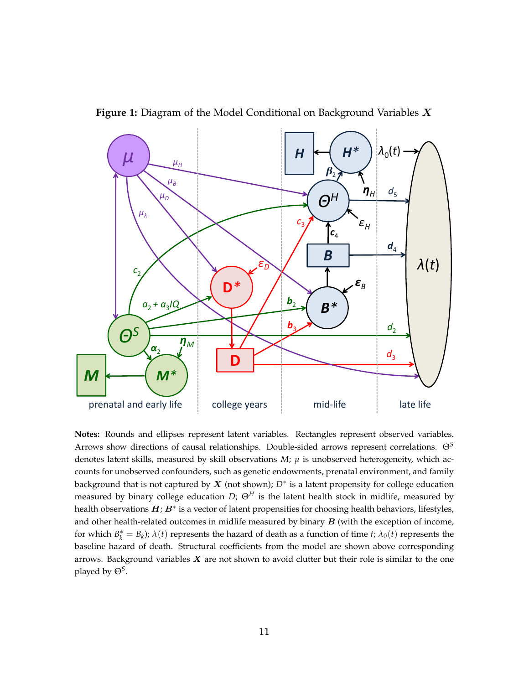<span id="page-13-0"></span>



**Notes:** Rounds and ellipses represent latent variables. Rectangles represent observed variables. Arrows show directions of causal relationships. Double-sided arrows represent correlations. Θ*<sup>S</sup>* denotes latent skills, measured by skill observations  $M$ ;  $\mu$  is unobserved heterogeneity, which accounts for unobserved confounders, such as genetic endowments, prenatal environment, and family background that is not captured by X (not shown); *D*<sup>∗</sup> is a latent propensity for college education measured by binary college education *D*;  $\Theta^H$  is the latent health stock in midlife, measured by health observations  $H$ ;  $B^*$  is a vector of latent propensities for choosing health behaviors, lifestyles, and other health-related outcomes in midlife measured by binary  $B$  (with the exception of income, for which  $B_k^* = B_k$ );  $\lambda(t)$  represents the hazard of death as a function of time *t*;  $\lambda_0(t)$  represents the baseline hazard of death. Structural coefficients from the model are shown above corresponding arrows. Background variables  $X$  are not shown to avoid clutter but their role is similar to the one played by Θ*<sup>S</sup>* .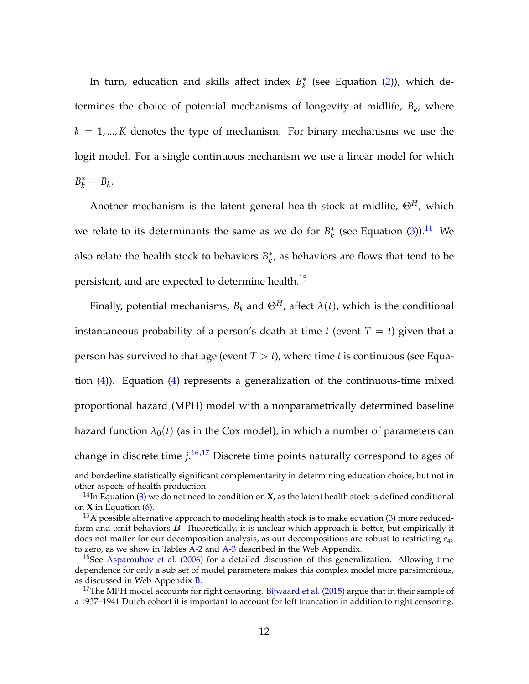In turn, education and skills affect index *B* ∗  $\frac{k}{k}$  (see Equation [\(2\)](#page-12-1)), which determines the choice of potential mechanisms of longevity at midlife, *B<sup>k</sup>* , where  $k = 1, \dots, K$  denotes the type of mechanism. For binary mechanisms we use the logit model. For a single continuous mechanism we use a linear model for which  $B_k^* = B_k$ .

Another mechanism is the latent general health stock at midlife,  $\Theta^H$ , which we relate to its determinants the same as we do for  $B_k^*$  $\frac{k}{k}$  (see Equation [\(3\)](#page-12-2)).<sup>[14](#page--1-0)</sup> We also relate the health stock to behaviors  $B_k^*$ *k* , as behaviors are flows that tend to be persistent, and are expected to determine health.<sup>[15](#page--1-0)</sup>

Finally, potential mechanisms,  $B_k$  and  $\Theta^H$ , affect  $\lambda(t)$ , which is the conditional instantaneous probability of a person's death at time  $t$  (event  $T = t$ ) given that a person has survived to that age (event  $T > t$ ), where time *t* is continuous (see Equation [\(4\)](#page-12-3)). Equation [\(4\)](#page-12-3) represents a generalization of the continuous-time mixed proportional hazard (MPH) model with a nonparametrically determined baseline hazard function  $\lambda_0(t)$  (as in the Cox model), in which a number of parameters can change in discrete time *j*. [16,17](#page--1-0) Discrete time points naturally correspond to ages of

and borderline statistically significant complementarity in determining education choice, but not in other aspects of health production.

<sup>14</sup>In Equation [\(3\)](#page-12-2) we do not need to condition on **X**, as the latent health stock is defined conditional on **X** in Equation [\(6\)](#page-16-0).

 $15A$  possible alternative approach to modeling health stock is to make equation [\(3\)](#page-12-2) more reducedform and omit behaviors  $B$ . Theoretically, it is unclear which approach is better, but empirically it does not matter for our decomposition analysis, as our decompositions are robust to restricting *c*4*<sup>k</sup>* to zero, as we show in Tables [A-2](#page--1-0) and [A-3](#page--1-0) described in the Web Appendix.

<sup>&</sup>lt;sup>16</sup>See [Asparouhov et al.](#page-42-3) [\(2006\)](#page-42-3) for a detailed discussion of this generalization. Allowing time dependence for only a sub set of model parameters makes this complex model more parsimonious, as discussed in Web Appendix [B.](#page--1-0)

<sup>&</sup>lt;sup>17</sup>The MPH model accounts for right censoring. [Bijwaard et al.](#page-42-4) [\(2015\)](#page-42-4) argue that in their sample of a 1937–1941 Dutch cohort it is important to account for left truncation in addition to right censoring.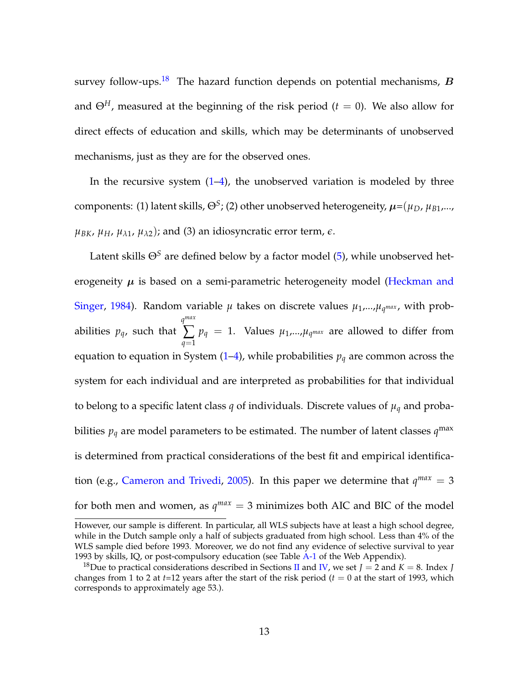survey follow-ups.<sup>[18](#page--1-0)</sup> The hazard function depends on potential mechanisms,  $B$ and  $\Theta^H$ , measured at the beginning of the risk period ( $t = 0$ ). We also allow for direct effects of education and skills, which may be determinants of unobserved mechanisms, just as they are for the observed ones.

In the recursive system  $(1-4)$  $(1-4)$ , the unobserved variation is modeled by three  $\,$  components: (1) latent skills,  $\Theta^S$ ; (2) other unobserved heterogeneity,  $\mu$ = $(\mu_D,\mu_{B1},...,\mu_D)$  $\mu_{BK}$ ,  $\mu_H$ ,  $\mu_{\lambda1}$ ,  $\mu_{\lambda2}$ ); and (3) an idiosyncratic error term,  $\epsilon$ .

Latent skills  $\Theta^S$  are defined below by a factor model [\(5\)](#page-16-1), while unobserved heterogeneity  $\mu$  is based on a semi-parametric heterogeneity model [\(Heckman and](#page-44-1) [Singer,](#page-44-1) [1984\)](#page-44-1). Random variable  $\mu$  takes on discrete values  $\mu_1, \ldots, \mu_q$  max, with probabilities *pq*, such that *q max* ∑ *q*=1  $p_q = 1$ . Values  $\mu_1$ ,..., $\mu_q$ *max* are allowed to differ from equation to equation in System  $(1-4)$  $(1-4)$ , while probabilities  $p_q$  are common across the system for each individual and are interpreted as probabilities for that individual to belong to a specific latent class *q* of individuals. Discrete values of  $\mu_q$  and probabilities  $p_q$  are model parameters to be estimated. The number of latent classes  $q^{\max}$ is determined from practical considerations of the best fit and empirical identifica-tion (e.g., [Cameron and Trivedi,](#page-42-2) [2005\)](#page-42-2). In this paper we determine that  $q^{max} = 3$ for both men and women, as  $q^{max} = 3$  minimizes both AIC and BIC of the model

However, our sample is different. In particular, all WLS subjects have at least a high school degree, while in the Dutch sample only a half of subjects graduated from high school. Less than 4% of the WLS sample died before 1993. Moreover, we do not find any evidence of selective survival to year 1993 by skills, IQ, or post-compulsory education (see Table [A-1](#page--1-0) of the Web Appendix).

<sup>&</sup>lt;sup>18</sup>Due to practical considerations described in Sections [II](#page-7-0) and [IV,](#page-23-0) we set  $J = 2$  and  $K = 8$ . Index *J* changes from 1 to 2 at  $t=12$  years after the start of the risk period ( $t=0$  at the start of 1993, which corresponds to approximately age 53.).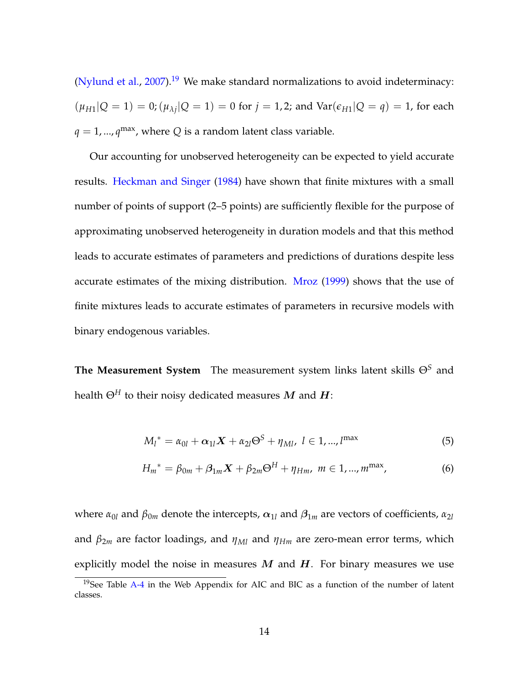[\(Nylund et al.,](#page-46-1) [2007\)](#page-46-1).<sup>[19](#page--1-0)</sup> We make standard normalizations to avoid indeterminacy:  $(\mu_{H1}|Q = 1) = 0; (\mu_{\lambda j}|Q = 1) = 0$  for  $j = 1, 2$ ; and  $Var(\epsilon_{H1}|Q = q) = 1$ , for each  $q = 1, ..., q^{\text{max}}$ , where *Q* is a random latent class variable.

Our accounting for unobserved heterogeneity can be expected to yield accurate results. [Heckman and Singer](#page-44-1) [\(1984\)](#page-44-1) have shown that finite mixtures with a small number of points of support (2–5 points) are sufficiently flexible for the purpose of approximating unobserved heterogeneity in duration models and that this method leads to accurate estimates of parameters and predictions of durations despite less accurate estimates of the mixing distribution. [Mroz](#page-45-0) [\(1999\)](#page-45-0) shows that the use of finite mixtures leads to accurate estimates of parameters in recursive models with binary endogenous variables.

**The Measurement System** The measurement system links latent skills Θ*<sup>S</sup>* and health  $\Theta^H$  to their noisy dedicated measures M and H:

<span id="page-16-1"></span><span id="page-16-0"></span>
$$
M_l^* = \alpha_{0l} + \alpha_{1l} X + \alpha_{2l} \Theta^S + \eta_{Ml}, \ l \in 1, ..., l^{\max}
$$
 (5)

$$
H_m^* = \beta_{0m} + \beta_{1m} X + \beta_{2m} \Theta^H + \eta_{Hm}, \ m \in 1, ..., m^{\max}, \tag{6}
$$

where  $\alpha_{0l}$  and  $\beta_{0m}$  denote the intercepts,  $\alpha_{1l}$  and  $\beta_{1m}$  are vectors of coefficients,  $\alpha_{2l}$ and *β*2*<sup>m</sup>* are factor loadings, and *ηMl* and *ηHm* are zero-mean error terms, which explicitly model the noise in measures  $M$  and  $H$ . For binary measures we use

 $19$ See Table [A-4](#page--1-0) in the Web Appendix for AIC and BIC as a function of the number of latent classes.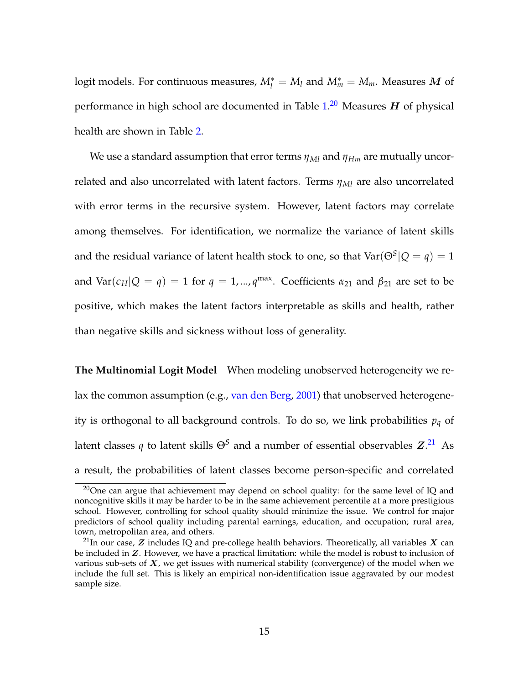$logit$  models. For continuous measures,  $M_l^* = M_l$  and  $M_m^* = M_m$ . Measures  $\boldsymbol{M}$  of performance in high school are documented in Table  $1.^{20}$  $1.^{20}$  $1.^{20}$  $1.^{20}$  Measures  $\boldsymbol{H}$  of physical health are shown in Table [2.](#page-10-0)

We use a standard assumption that error terms *ηMl* and *ηHm* are mutually uncorrelated and also uncorrelated with latent factors. Terms *ηMl* are also uncorrelated with error terms in the recursive system. However, latent factors may correlate among themselves. For identification, we normalize the variance of latent skills and the residual variance of latent health stock to one, so that  $\text{Var}(\Theta^S | Q = q) = 1$ and  $\text{Var}(\epsilon_H|Q = q) = 1$  for  $q = 1, ..., q^{\text{max}}$ . Coefficients  $\alpha_{21}$  and  $\beta_{21}$  are set to be positive, which makes the latent factors interpretable as skills and health, rather than negative skills and sickness without loss of generality.

**The Multinomial Logit Model** When modeling unobserved heterogeneity we relax the common assumption (e.g., [van den Berg,](#page-46-2) [2001\)](#page-46-2) that unobserved heterogeneity is orthogonal to all background controls. To do so, we link probabilities *p<sup>q</sup>* of latent classes  $q$  to latent skills  $\Theta^S$  and a number of essential observables  $\boldsymbol{Z}^{.21}$  $\boldsymbol{Z}^{.21}$  $\boldsymbol{Z}^{.21}$  As a result, the probabilities of latent classes become person-specific and correlated

 $20$ One can argue that achievement may depend on school quality: for the same level of IQ and noncognitive skills it may be harder to be in the same achievement percentile at a more prestigious school. However, controlling for school quality should minimize the issue. We control for major predictors of school quality including parental earnings, education, and occupation; rural area, town, metropolitan area, and others.

<sup>&</sup>lt;sup>21</sup>In our case,  $Z$  includes IQ and pre-college health behaviors. Theoretically, all variables  $X$  can be included in Z. However, we have a practical limitation: while the model is robust to inclusion of various sub-sets of  $X$ , we get issues with numerical stability (convergence) of the model when we include the full set. This is likely an empirical non-identification issue aggravated by our modest sample size.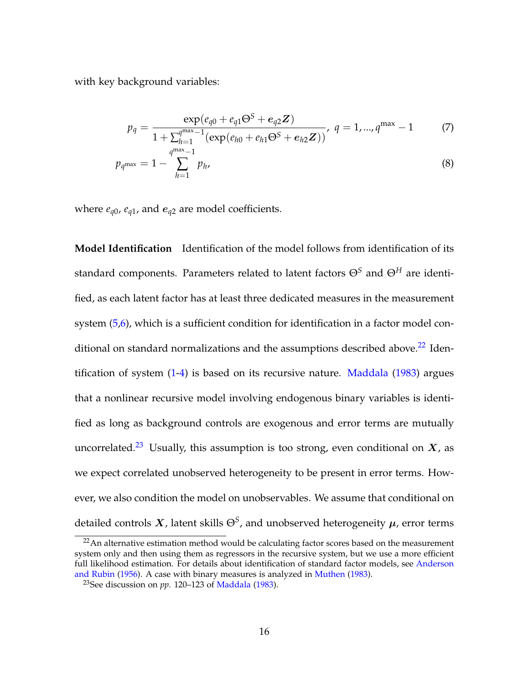with key background variables:

<span id="page-18-0"></span>
$$
p_q = \frac{\exp(e_{q0} + e_{q1} \Theta^S + e_{q2} \mathbf{Z})}{1 + \sum_{h=1}^{q^{\max}-1} (\exp(e_{h0} + e_{h1} \Theta^S + e_{h2} \mathbf{Z}))}, \ q = 1, ..., q^{\max} - 1 \tag{7}
$$

$$
p_{q^{\max}} = 1 - \sum_{h=1}^{q^{\max}-1} p_h,
$$
\n(8)

where  $e_{q0}$ ,  $e_{q1}$ , and  $e_{q2}$  are model coefficients.

**Model Identification** Identification of the model follows from identification of its standard components. Parameters related to latent factors Θ*<sup>S</sup>* and Θ*<sup>H</sup>* are identified, as each latent factor has at least three dedicated measures in the measurement system [\(5,](#page-16-1)[6\)](#page-16-0), which is a sufficient condition for identification in a factor model conditional on standard normalizations and the assumptions described above. $^{22}$  $^{22}$  $^{22}$  Identification of system [\(1-](#page-12-0)[4\)](#page-12-3) is based on its recursive nature. [Maddala](#page-45-3) [\(1983\)](#page-45-3) argues that a nonlinear recursive model involving endogenous binary variables is identified as long as background controls are exogenous and error terms are mutually uncorrelated.<sup>[23](#page--1-0)</sup> Usually, this assumption is too strong, even conditional on  $X$ , as we expect correlated unobserved heterogeneity to be present in error terms. However, we also condition the model on unobservables. We assume that conditional on detailed controls  $\boldsymbol{X}$ , latent skills  $\Theta^S$ , and unobserved heterogeneity  $\boldsymbol{\mu}$ , error terms

<sup>&</sup>lt;sup>22</sup> An alternative estimation method would be calculating factor scores based on the measurement system only and then using them as regressors in the recursive system, but we use a more efficient full likelihood estimation. For details about identification of standard factor models, see [Anderson](#page-42-5) [and Rubin](#page-42-5) [\(1956\)](#page-42-5). A case with binary measures is analyzed in [Muthen](#page-46-3) [\(1983\)](#page-46-3).

<sup>23</sup>See discussion on *pp*. 120–123 of [Maddala](#page-45-3) [\(1983\)](#page-45-3).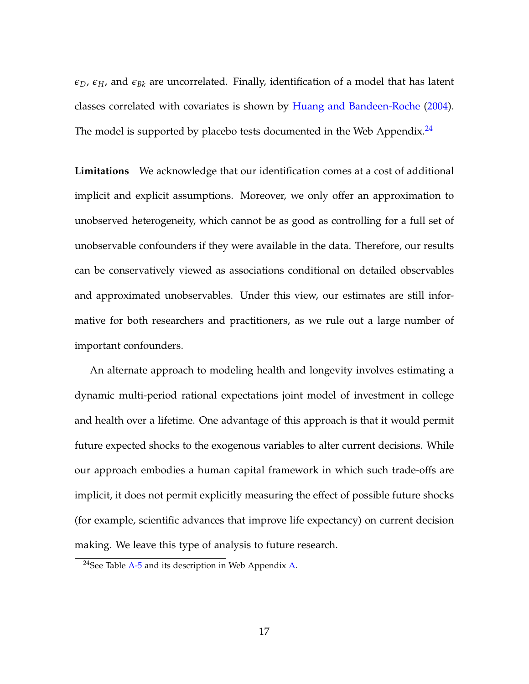$\epsilon_D$ ,  $\epsilon_H$ , and  $\epsilon_{Bk}$  are uncorrelated. Finally, identification of a model that has latent classes correlated with covariates is shown by [Huang and Bandeen-Roche](#page-45-4) [\(2004\)](#page-45-4). The model is supported by placebo tests documented in the Web Appendix. $^{24}$  $^{24}$  $^{24}$ 

**Limitations** We acknowledge that our identification comes at a cost of additional implicit and explicit assumptions. Moreover, we only offer an approximation to unobserved heterogeneity, which cannot be as good as controlling for a full set of unobservable confounders if they were available in the data. Therefore, our results can be conservatively viewed as associations conditional on detailed observables and approximated unobservables. Under this view, our estimates are still informative for both researchers and practitioners, as we rule out a large number of important confounders.

An alternate approach to modeling health and longevity involves estimating a dynamic multi-period rational expectations joint model of investment in college and health over a lifetime. One advantage of this approach is that it would permit future expected shocks to the exogenous variables to alter current decisions. While our approach embodies a human capital framework in which such trade-offs are implicit, it does not permit explicitly measuring the effect of possible future shocks (for example, scientific advances that improve life expectancy) on current decision making. We leave this type of analysis to future research.

 $24$ See Table [A-5](#page--1-0) and its description in Web Appendix [A.](#page--1-0)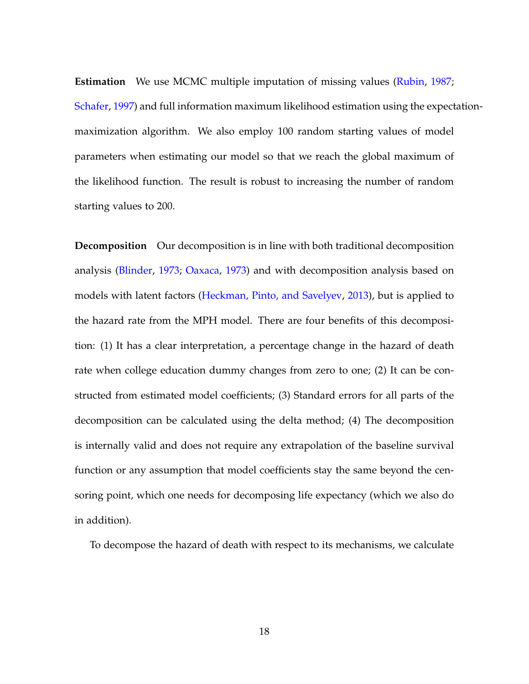**Estimation** We use MCMC multiple imputation of missing values [\(Rubin,](#page-46-4) [1987;](#page-46-4) [Schafer,](#page-46-5) [1997\)](#page-46-5) and full information maximum likelihood estimation using the expectationmaximization algorithm. We also employ 100 random starting values of model parameters when estimating our model so that we reach the global maximum of the likelihood function. The result is robust to increasing the number of random starting values to 200.

**Decomposition** Our decomposition is in line with both traditional decomposition analysis [\(Blinder,](#page-42-6) [1973;](#page-42-6) [Oaxaca,](#page-46-6) [1973\)](#page-46-6) and with decomposition analysis based on models with latent factors [\(Heckman, Pinto, and Savelyev,](#page-44-3) [2013\)](#page-44-3), but is applied to the hazard rate from the MPH model. There are four benefits of this decomposition: (1) It has a clear interpretation, a percentage change in the hazard of death rate when college education dummy changes from zero to one; (2) It can be constructed from estimated model coefficients; (3) Standard errors for all parts of the decomposition can be calculated using the delta method; (4) The decomposition is internally valid and does not require any extrapolation of the baseline survival function or any assumption that model coefficients stay the same beyond the censoring point, which one needs for decomposing life expectancy (which we also do in addition).

To decompose the hazard of death with respect to its mechanisms, we calculate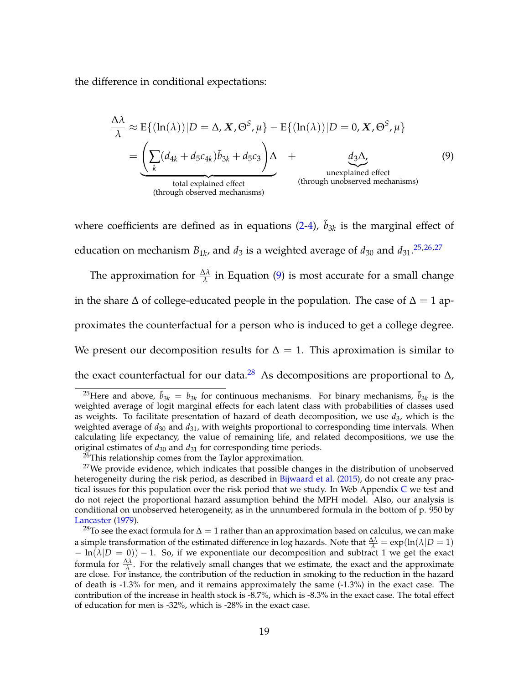the difference in conditional expectations:

<span id="page-21-0"></span>
$$
\frac{\Delta\lambda}{\lambda} \approx E\{(\ln(\lambda))|D = \Delta, \mathbf{X}, \Theta^S, \mu\} - E\{(\ln(\lambda))|D = 0, \mathbf{X}, \Theta^S, \mu\}
$$
\n
$$
= \underbrace{\left(\sum_k (d_{4k} + d_5 c_{4k})\tilde{b}_{3k} + d_5 c_3\right)\Delta}_{\text{total explained effect}} + \underbrace{d_3\Delta}_{\text{unexplained effect}} \tag{9}
$$
\n
$$
\text{(through unobserved mechanisms)}
$$

where coefficients are defined as in equations  $(2-4)$  $(2-4)$ ,  $\tilde{b}_{3k}$  is the marginal effect of education on mechanism  $B_{1k}$ , and  $d_3$  is a weighted average of  $d_{30}$  and  $d_{31}$ .<sup>[25,26,27](#page--1-0)</sup>

The approximation for  $\frac{\Delta \lambda}{\lambda}$  in Equation [\(9\)](#page-21-0) is most accurate for a small change in the share  $\Delta$  of college-educated people in the population. The case of  $\Delta = 1$  approximates the counterfactual for a person who is induced to get a college degree. We present our decomposition results for  $\Delta = 1$ . This aproximation is similar to the exact counterfactual for our data.<sup>[28](#page--1-0)</sup> As decompositions are proportional to  $\Delta$ ,

<sup>&</sup>lt;sup>25</sup>Here and above,  $\tilde{b}_{3k} = b_{3k}$  for continuous mechanisms. For binary mechanisms,  $\tilde{b}_{3k}$  is the weighted average of logit marginal effects for each latent class with probabilities of classes used as weights. To facilitate presentation of hazard of death decomposition, we use *d*3, which is the weighted average of *d*<sup>30</sup> and *d*31, with weights proportional to corresponding time intervals. When calculating life expectancy, the value of remaining life, and related decompositions, we use the original estimates of  $d_{30}$  and  $d_{31}$  for corresponding time periods.

<sup>&</sup>lt;sup>26</sup>This relationship comes from the Taylor approximation.

 $27$ We provide evidence, which indicates that possible changes in the distribution of unobserved heterogeneity during the risk period, as described in [Bijwaard et al.](#page-42-4) [\(2015\)](#page-42-4), do not create any practical issues for this population over the risk period that we study. In Web Appendix [C](#page--1-0) we test and do not reject the proportional hazard assumption behind the MPH model. Also, our analysis is conditional on unobserved heterogeneity, as in the unnumbered formula in the bottom of p. 950 by [Lancaster](#page-45-5) [\(1979\)](#page-45-5).

<sup>&</sup>lt;sup>28</sup>To see the exact formula for  $\Delta = 1$  rather than an approximation based on calculus, we can make a simple transformation of the estimated difference in log hazards. Note that  $\frac{\Delta\lambda}{\lambda} = \exp(\ln(\lambda|D=1))$  $- \ln(\lambda|D = 0) - 1$ . So, if we exponentiate our decomposition and subtract 1 we get the exact formula for  $\frac{\Delta \lambda}{\lambda}$ . For the relatively small changes that we estimate, the exact and the approximate are close. For instance, the contribution of the reduction in smoking to the reduction in the hazard of death is -1.3% for men, and it remains approximately the same (-1.3%) in the exact case. The contribution of the increase in health stock is -8.7%, which is -8.3% in the exact case. The total effect of education for men is -32%, which is -28% in the exact case.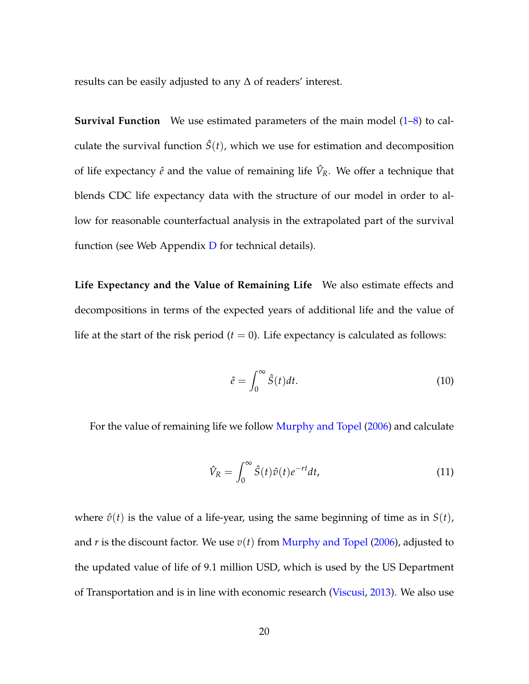results can be easily adjusted to any ∆ of readers' interest.

**Survival Function** We use estimated parameters of the main model [\(1](#page-12-0)[–8\)](#page-18-0) to calculate the survival function  $\hat{S}(t)$ , which we use for estimation and decomposition of life expectancy  $\hat{e}$  and the value of remaining life  $\hat{V}_R$ . We offer a technique that blends CDC life expectancy data with the structure of our model in order to allow for reasonable counterfactual analysis in the extrapolated part of the survival function (see Web Appendix  $D$  for technical details).

**Life Expectancy and the Value of Remaining Life** We also estimate effects and decompositions in terms of the expected years of additional life and the value of life at the start of the risk period  $(t = 0)$ . Life expectancy is calculated as follows:

<span id="page-22-1"></span><span id="page-22-0"></span>
$$
\hat{e} = \int_0^\infty \hat{S}(t)dt.
$$
\n(10)

For the value of remaining life we follow [Murphy and Topel](#page-46-0) [\(2006\)](#page-46-0) and calculate

$$
\hat{V}_R = \int_0^\infty \hat{S}(t)\hat{v}(t)e^{-rt}dt,
$$
\n(11)

where  $\hat{v}(t)$  is the value of a life-year, using the same beginning of time as in  $S(t)$ , and *r* is the discount factor. We use  $v(t)$  from [Murphy and Topel](#page-46-0) [\(2006\)](#page-46-0), adjusted to the updated value of life of 9.1 million USD, which is used by the US Department of Transportation and is in line with economic research [\(Viscusi,](#page-46-7) [2013\)](#page-46-7). We also use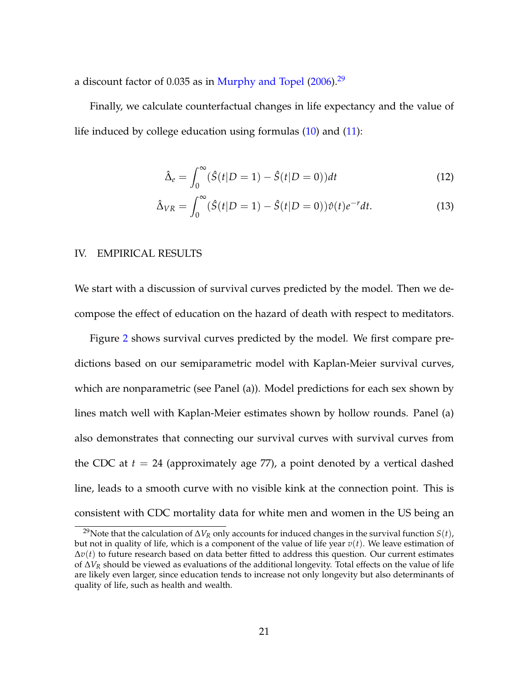a discount factor of 0.035 as in [Murphy and Topel](#page-46-0) [\(2006\)](#page-46-0).<sup>[29](#page--1-0)</sup>

Finally, we calculate counterfactual changes in life expectancy and the value of life induced by college education using formulas  $(10)$  and  $(11)$ :

<span id="page-23-2"></span><span id="page-23-1"></span>
$$
\hat{\Delta}_e = \int_0^\infty (\hat{S}(t|D=1) - \hat{S}(t|D=0))dt
$$
\n(12)

$$
\hat{\Delta}_{VR} = \int_0^\infty (\hat{S}(t|D=1) - \hat{S}(t|D=0))\hat{v}(t)e^{-r}dt.
$$
\n(13)

## <span id="page-23-0"></span>IV. EMPIRICAL RESULTS

We start with a discussion of survival curves predicted by the model. Then we decompose the effect of education on the hazard of death with respect to meditators.

Figure [2](#page-24-0) shows survival curves predicted by the model. We first compare predictions based on our semiparametric model with Kaplan-Meier survival curves, which are nonparametric (see Panel (a)). Model predictions for each sex shown by lines match well with Kaplan-Meier estimates shown by hollow rounds. Panel (a) also demonstrates that connecting our survival curves with survival curves from the CDC at  $t = 24$  (approximately age 77), a point denoted by a vertical dashed line, leads to a smooth curve with no visible kink at the connection point. This is consistent with CDC mortality data for white men and women in the US being an

<sup>29</sup>Note that the calculation of ∆*V<sup>R</sup>* only accounts for induced changes in the survival function *S*(*t*), but not in quality of life, which is a component of the value of life year  $v(t)$ . We leave estimation of ∆*v*(*t*) to future research based on data better fitted to address this question. Our current estimates of ∆*V<sup>R</sup>* should be viewed as evaluations of the additional longevity. Total effects on the value of life are likely even larger, since education tends to increase not only longevity but also determinants of quality of life, such as health and wealth.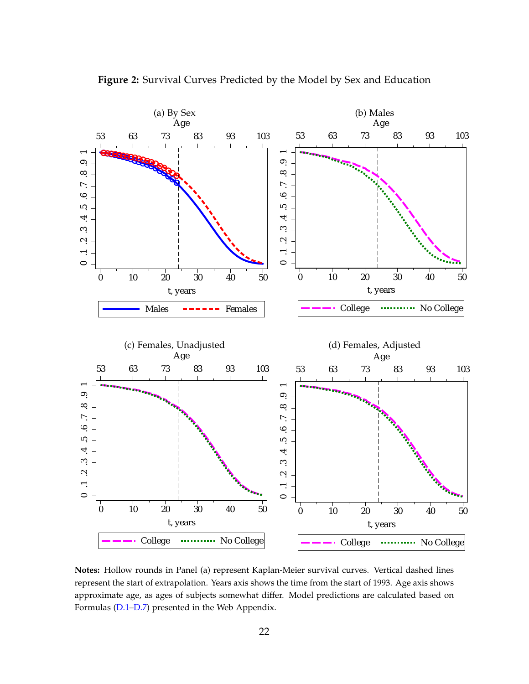

<span id="page-24-0"></span>**Figure 2:** Survival Curves Predicted by the Model by Sex and Education

**Notes:** Hollow rounds in Panel (a) represent Kaplan-Meier survival curves. Vertical dashed lines represent the start of extrapolation. Years axis shows the time from the start of 1993. Age axis shows approximate age, as ages of subjects somewhat differ. Model predictions are calculated based on Formulas [\(D.1–D.7\)](#page--1-0) presented in the Web Appendix.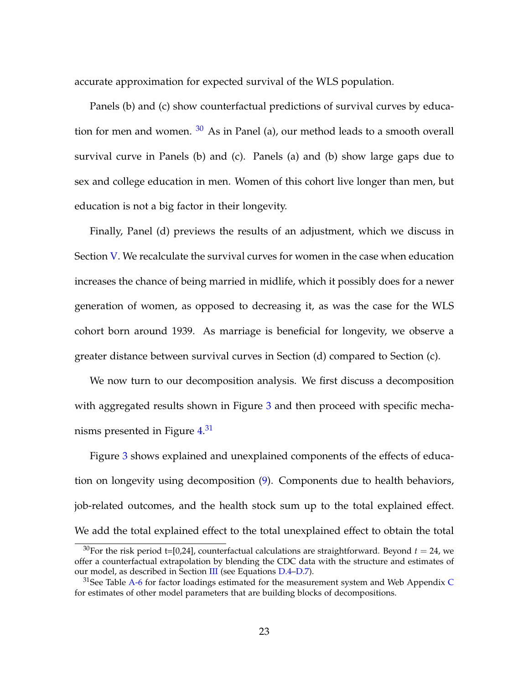accurate approximation for expected survival of the WLS population.

Panels (b) and (c) show counterfactual predictions of survival curves by education for men and women.  $30$  As in Panel (a), our method leads to a smooth overall survival curve in Panels (b) and (c). Panels (a) and (b) show large gaps due to sex and college education in men. Women of this cohort live longer than men, but education is not a big factor in their longevity.

Finally, Panel (d) previews the results of an adjustment, which we discuss in Section [V.](#page-30-0) We recalculate the survival curves for women in the case when education increases the chance of being married in midlife, which it possibly does for a newer generation of women, as opposed to decreasing it, as was the case for the WLS cohort born around 1939. As marriage is beneficial for longevity, we observe a greater distance between survival curves in Section (d) compared to Section (c).

We now turn to our decomposition analysis. We first discuss a decomposition with aggregated results shown in Figure [3](#page-26-0) and then proceed with specific mecha-nisms presented in Figure [4.](#page-28-0)<sup>[31](#page--1-0)</sup>

Figure [3](#page-26-0) shows explained and unexplained components of the effects of education on longevity using decomposition [\(9\)](#page-21-0). Components due to health behaviors, job-related outcomes, and the health stock sum up to the total explained effect. We add the total explained effect to the total unexplained effect to obtain the total

<sup>&</sup>lt;sup>30</sup>For the risk period t=[0,24], counterfactual calculations are straightforward. Beyond  $t = 24$ , we offer a counterfactual extrapolation by blending the CDC data with the structure and estimates of our model, as described in Section [III](#page-11-0) (see Equations [D.4–D.7\)](#page--1-0).

 $31$ See Table [A-6](#page--1-0) for factor loadings estimated for the measurement system and Web Appendix [C](#page--1-0) for estimates of other model parameters that are building blocks of decompositions.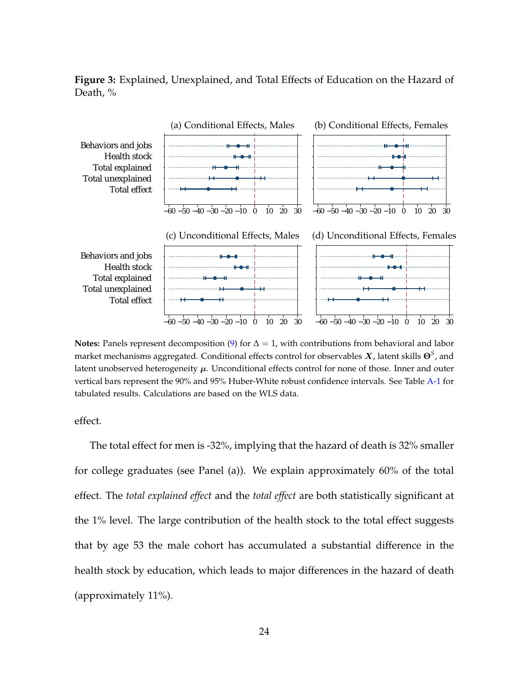<span id="page-26-0"></span>**Figure 3:** Explained, Unexplained, and Total Effects of Education on the Hazard of Death, %



**Notes:** Panels represent decomposition [\(9\)](#page-21-0) for  $\Delta = 1$ , with contributions from behavioral and labor market mechanisms aggregated. Conditional effects control for observables X, latent skills **Θ***<sup>S</sup>* , and latent unobserved heterogeneity  $\mu$ . Unconditional effects control for none of those. Inner and outer vertical bars represent the 90% and 95% Huber-White robust confidence intervals. See Table [A-1](#page-48-0) for tabulated results. Calculations are based on the WLS data.

effect.

The total effect for men is -32%, implying that the hazard of death is 32% smaller for college graduates (see Panel (a)). We explain approximately 60% of the total effect. The *total explained effect* and the *total effect* are both statistically significant at the 1% level. The large contribution of the health stock to the total effect suggests that by age 53 the male cohort has accumulated a substantial difference in the health stock by education, which leads to major differences in the hazard of death (approximately 11%).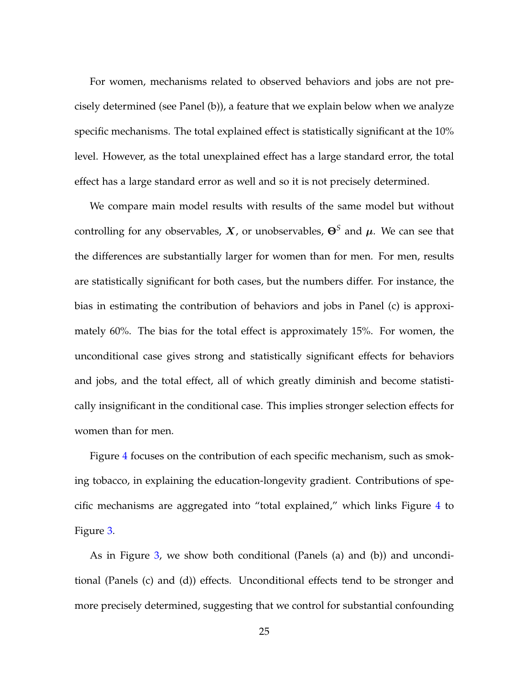For women, mechanisms related to observed behaviors and jobs are not precisely determined (see Panel (b)), a feature that we explain below when we analyze specific mechanisms. The total explained effect is statistically significant at the 10% level. However, as the total unexplained effect has a large standard error, the total effect has a large standard error as well and so it is not precisely determined.

We compare main model results with results of the same model but without controlling for any observables, X, or unobservables, **Θ***<sup>S</sup>* and µ. We can see that the differences are substantially larger for women than for men. For men, results are statistically significant for both cases, but the numbers differ. For instance, the bias in estimating the contribution of behaviors and jobs in Panel (c) is approximately 60%. The bias for the total effect is approximately 15%. For women, the unconditional case gives strong and statistically significant effects for behaviors and jobs, and the total effect, all of which greatly diminish and become statistically insignificant in the conditional case. This implies stronger selection effects for women than for men.

Figure [4](#page-28-0) focuses on the contribution of each specific mechanism, such as smoking tobacco, in explaining the education-longevity gradient. Contributions of specific mechanisms are aggregated into "total explained," which links Figure [4](#page-28-0) to Figure [3.](#page-26-0)

As in Figure [3,](#page-26-0) we show both conditional (Panels (a) and (b)) and unconditional (Panels (c) and (d)) effects. Unconditional effects tend to be stronger and more precisely determined, suggesting that we control for substantial confounding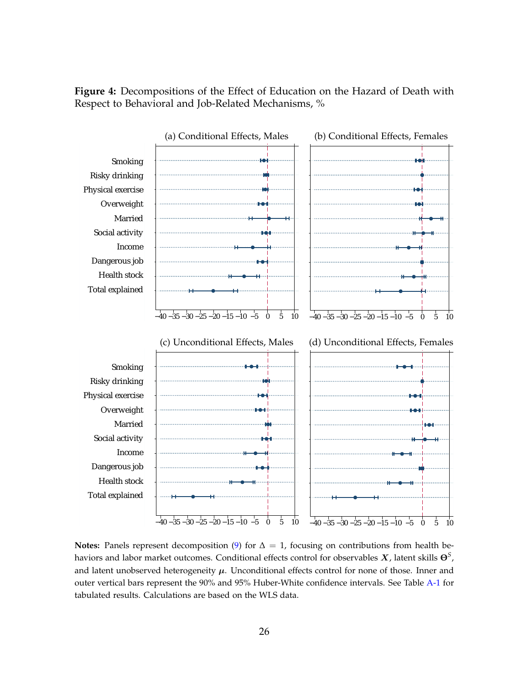<span id="page-28-0"></span>



**Notes:** Panels represent decomposition [\(9\)](#page-21-0) for  $\Delta = 1$ , focusing on contributions from health behaviors and labor market outcomes. Conditional effects control for observables X, latent skills **Θ***<sup>S</sup>* , and latent unobserved heterogeneity  $\mu$ . Unconditional effects control for none of those. Inner and outer vertical bars represent the 90% and 95% Huber-White confidence intervals. See Table [A-1](#page-48-0) for tabulated results. Calculations are based on the WLS data.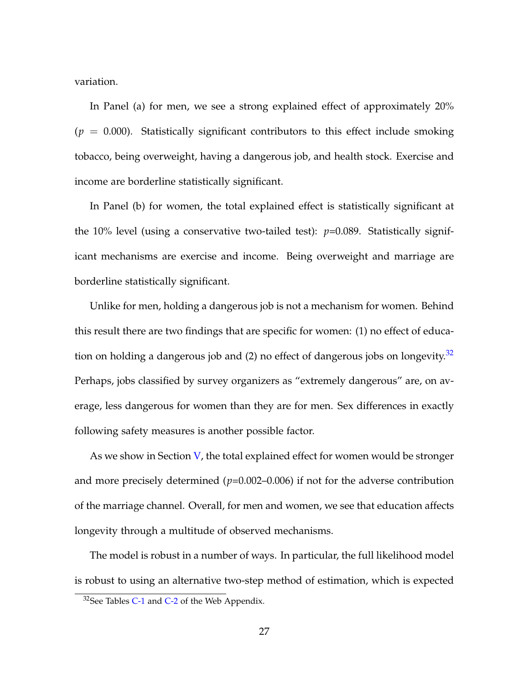variation.

In Panel (a) for men, we see a strong explained effect of approximately 20%  $(p = 0.000)$ . Statistically significant contributors to this effect include smoking tobacco, being overweight, having a dangerous job, and health stock. Exercise and income are borderline statistically significant.

In Panel (b) for women, the total explained effect is statistically significant at the 10% level (using a conservative two-tailed test):  $p=0.089$ . Statistically significant mechanisms are exercise and income. Being overweight and marriage are borderline statistically significant.

Unlike for men, holding a dangerous job is not a mechanism for women. Behind this result there are two findings that are specific for women: (1) no effect of education on holding a dangerous job and  $(2)$  no effect of dangerous jobs on longevity.<sup>[32](#page--1-0)</sup> Perhaps, jobs classified by survey organizers as "extremely dangerous" are, on average, less dangerous for women than they are for men. Sex differences in exactly following safety measures is another possible factor.

As we show in Section  $V$ , the total explained effect for women would be stronger and more precisely determined  $(p=0.002-0.006)$  if not for the adverse contribution of the marriage channel. Overall, for men and women, we see that education affects longevity through a multitude of observed mechanisms.

The model is robust in a number of ways. In particular, the full likelihood model is robust to using an alternative two-step method of estimation, which is expected

 $32$ See Tables [C-1](#page--1-0) and [C-2](#page--1-0) of the Web Appendix.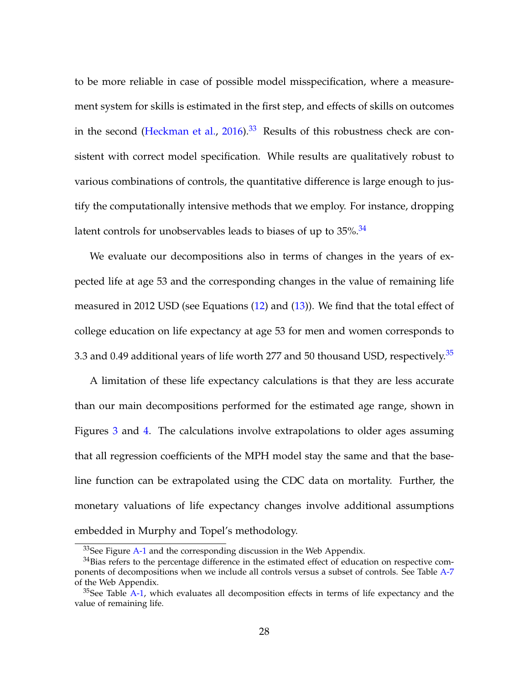to be more reliable in case of possible model misspecification, where a measurement system for skills is estimated in the first step, and effects of skills on outcomes in the second [\(Heckman et al.,](#page-44-4)  $2016$ ).<sup>[33](#page--1-0)</sup> Results of this robustness check are consistent with correct model specification. While results are qualitatively robust to various combinations of controls, the quantitative difference is large enough to justify the computationally intensive methods that we employ. For instance, dropping latent controls for unobservables leads to biases of up to  $35\%$ .  $34$ 

We evaluate our decompositions also in terms of changes in the years of expected life at age 53 and the corresponding changes in the value of remaining life measured in 2012 USD (see Equations [\(12\)](#page-23-1) and [\(13\)](#page-23-2)). We find that the total effect of college education on life expectancy at age 53 for men and women corresponds to 3.3 and 0.49 additional years of life worth 277 and 50 thousand USD, respectively. $35$ 

A limitation of these life expectancy calculations is that they are less accurate than our main decompositions performed for the estimated age range, shown in Figures [3](#page-26-0) and [4.](#page-28-0) The calculations involve extrapolations to older ages assuming that all regression coefficients of the MPH model stay the same and that the baseline function can be extrapolated using the CDC data on mortality. Further, the monetary valuations of life expectancy changes involve additional assumptions embedded in Murphy and Topel's methodology.

<span id="page-30-0"></span><sup>&</sup>lt;sup>33</sup>See Figure [A-1](#page--1-0) and the corresponding discussion in the Web Appendix.

 $34$ Bias refers to the percentage difference in the estimated effect of education on respective components of decompositions when we include all controls versus a subset of controls. See Table [A-7](#page--1-0) of the Web Appendix.

 $35$ See Table [A-1,](#page-48-0) which evaluates all decomposition effects in terms of life expectancy and the value of remaining life.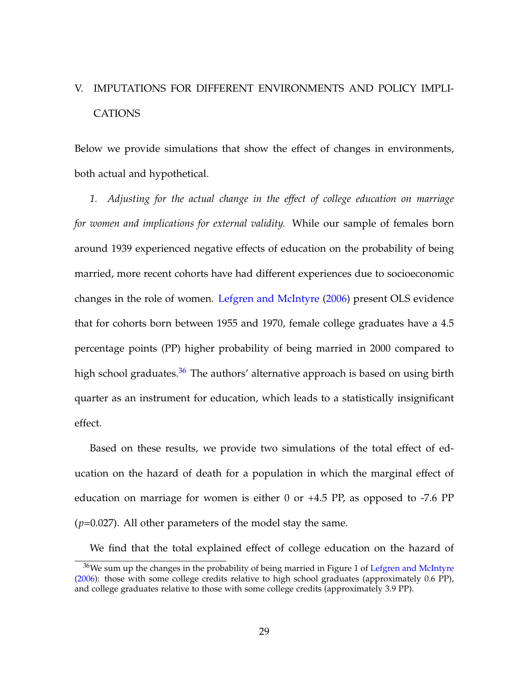## V. IMPUTATIONS FOR DIFFERENT ENVIRONMENTS AND POLICY IMPLI-CATIONS

Below we provide simulations that show the effect of changes in environments, both actual and hypothetical.

*1. Adjusting for the actual change in the effect of college education on marriage for women and implications for external validity.* While our sample of females born around 1939 experienced negative effects of education on the probability of being married, more recent cohorts have had different experiences due to socioeconomic changes in the role of women. [Lefgren and McIntyre](#page-45-1) [\(2006\)](#page-45-1) present OLS evidence that for cohorts born between 1955 and 1970, female college graduates have a 4.5 percentage points (PP) higher probability of being married in 2000 compared to high school graduates. $36$  The authors' alternative approach is based on using birth quarter as an instrument for education, which leads to a statistically insignificant effect.

Based on these results, we provide two simulations of the total effect of education on the hazard of death for a population in which the marginal effect of education on marriage for women is either 0 or +4.5 PP, as opposed to -7.6 PP (*p*=0.027). All other parameters of the model stay the same.

We find that the total explained effect of college education on the hazard of

 $36W$ e sum up the changes in the probability of being married in Figure 1 of [Lefgren and McIntyre](#page-45-1) [\(2006\)](#page-45-1): those with some college credits relative to high school graduates (approximately 0.6 PP), and college graduates relative to those with some college credits (approximately 3.9 PP).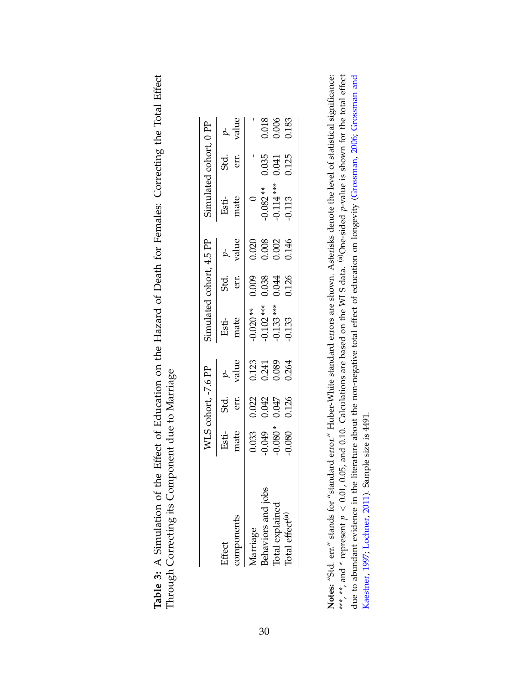<span id="page-32-0"></span>

| ffect of Education on the Hazard of Death for Females: Correcting the Total Effect |                                                                                |
|------------------------------------------------------------------------------------|--------------------------------------------------------------------------------|
|                                                                                    | EIII UU IVIAIIIA<br>mely Ot orlo the                                           |
| imulation of the Efi<br>Table 3: A Simu.                                           | $-$ of $\alpha$ its ( opposite<br>THROAD COLLOCATE TAP COLLID<br>こ ことこくそく<br>( |

|                                                |                                                         | WLS cohort, -7.6 PP |                | simulated cohort, 4.5 PP   |                |       | Simulated cohort, 0 PF                  |                 |                         |
|------------------------------------------------|---------------------------------------------------------|---------------------|----------------|----------------------------|----------------|-------|-----------------------------------------|-----------------|-------------------------|
| lifect                                         | Esti-                                                   | Std.                |                | Esti-<br>mate              | Std.           |       | Esti-<br>mate                           | .<br>st:<br>er: |                         |
| components                                     | mate                                                    | err.                | value          |                            | err.           | value |                                         |                 | $r$<br>value            |
|                                                |                                                         | 0.022               | 0.123          | $0.020**$                  | 0.009          | 0.020 |                                         |                 |                         |
| <i>A</i> arriage<br>3ehaviors and job          | $\begin{array}{c} 0.033 \\ -0.049 \\ 0.080 \end{array}$ |                     |                |                            |                |       |                                         | 0.035           |                         |
| Total explained<br>Total effect <sup>(a)</sup> |                                                         | 0.047               | 0.241<br>0.089 | $-0.102***$<br>$-0.133***$ | 0.038<br>0.044 | 0.008 | $-0.082$ **<br>$-0.114$ ***<br>$-0.113$ | 0.041           | 0.018<br>0.006<br>0.183 |
|                                                | 0.080                                                   | 0.126               | 0.264          | $-0.133$                   | 0.126          | 0.146 |                                         | 0.125           |                         |

Notes: "Std. err." stands for "standard error." Huber-White standard errors are shown. Asterisks denote the level of statistical significance: \*\*\*, \*\*, and \* represent  $p < 0.01$ , 0.05, and 0.10. Calculations are based on the WLS data. <sup>(a)</sup>One-sided p-value is shown for the total effect due to abundant evidence in the literature about the non-negative total effect of education on longevity (Grossman, 2006; Grossman and \*\*\*, \*\*, and \* represent  $p < 0.01$ , 0.05, and 0.10. Calculations are based on the WLS data. <sup>(a)</sup>One-sided *p*-value is shown for the total effect due to abundant evidence in the literature about the non-negative total effect of education on longevity [\(Grossman,](#page-44-5) [2006;](#page-44-5) [Grossman](#page-44-6) and **Notes:** "Std. err." stands for "standard error." Huber-White standard errors are shown. Asterisks denote the level of statistical significance: Kaestner, 1997; Lochner, 2011). Sample size is 4491. [Kaestner,](#page-44-6) [1997;](#page-44-6) [Lochner,](#page-45-6) [2011\)](#page-45-6). Sample size is 4491.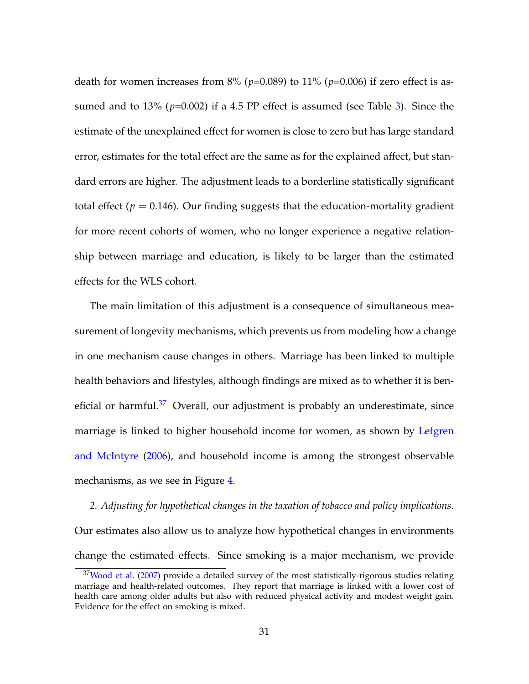death for women increases from 8% (*p*=0.089) to 11% (*p*=0.006) if zero effect is assumed and to 13% (*p*=0.002) if a 4.5 PP effect is assumed (see Table [3\)](#page-32-0). Since the estimate of the unexplained effect for women is close to zero but has large standard error, estimates for the total effect are the same as for the explained affect, but standard errors are higher. The adjustment leads to a borderline statistically significant total effect ( $p = 0.146$ ). Our finding suggests that the education-mortality gradient for more recent cohorts of women, who no longer experience a negative relationship between marriage and education, is likely to be larger than the estimated effects for the WLS cohort.

The main limitation of this adjustment is a consequence of simultaneous measurement of longevity mechanisms, which prevents us from modeling how a change in one mechanism cause changes in others. Marriage has been linked to multiple health behaviors and lifestyles, although findings are mixed as to whether it is beneficial or harmful. $37$  Overall, our adjustment is probably an underestimate, since marriage is linked to higher household income for women, as shown by [Lefgren](#page-45-1) [and McIntyre](#page-45-1) [\(2006\)](#page-45-1), and household income is among the strongest observable mechanisms, as we see in Figure [4.](#page-28-0)

*2. Adjusting for hypothetical changes in the taxation of tobacco and policy implications.* Our estimates also allow us to analyze how hypothetical changes in environments change the estimated effects. Since smoking is a major mechanism, we provide

 $37$ [Wood et al.](#page-47-0) [\(2007\)](#page-47-0) provide a detailed survey of the most statistically-rigorous studies relating marriage and health-related outcomes. They report that marriage is linked with a lower cost of health care among older adults but also with reduced physical activity and modest weight gain. Evidence for the effect on smoking is mixed.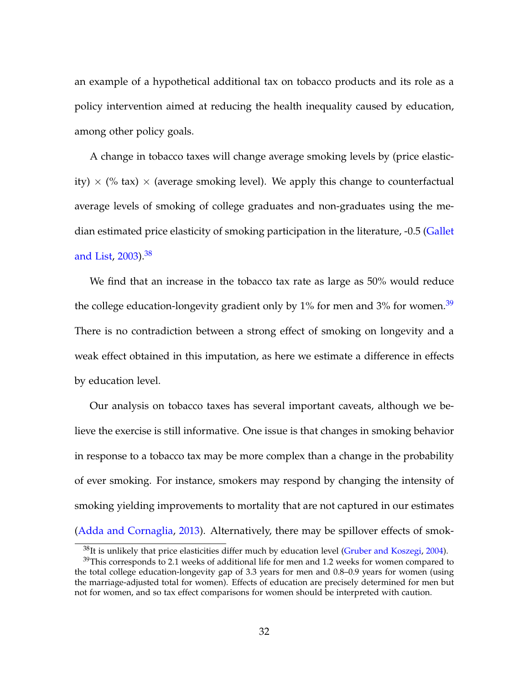an example of a hypothetical additional tax on tobacco products and its role as a policy intervention aimed at reducing the health inequality caused by education, among other policy goals.

A change in tobacco taxes will change average smoking levels by (price elasticity)  $\times$  (% tax)  $\times$  (average smoking level). We apply this change to counterfactual average levels of smoking of college graduates and non-graduates using the median estimated price elasticity of smoking participation in the literature, -0.5 [\(Gallet](#page-43-6) [and List,](#page-43-6) [2003\)](#page-43-6).<sup>[38](#page--1-0)</sup>

We find that an increase in the tobacco tax rate as large as 50% would reduce the college education-longevity gradient only by  $1\%$  for men and  $3\%$  for women.<sup>[39](#page--1-0)</sup> There is no contradiction between a strong effect of smoking on longevity and a weak effect obtained in this imputation, as here we estimate a difference in effects by education level.

Our analysis on tobacco taxes has several important caveats, although we believe the exercise is still informative. One issue is that changes in smoking behavior in response to a tobacco tax may be more complex than a change in the probability of ever smoking. For instance, smokers may respond by changing the intensity of smoking yielding improvements to mortality that are not captured in our estimates [\(Adda and Cornaglia,](#page-41-2) [2013\)](#page-41-2). Alternatively, there may be spillover effects of smok-

 $38$ It is unlikely that price elasticities differ much by education level [\(Gruber and Koszegi,](#page-44-7) [2004\)](#page-44-7).

 $39$ This corresponds to 2.1 weeks of additional life for men and 1.2 weeks for women compared to the total college education-longevity gap of 3.3 years for men and 0.8–0.9 years for women (using the marriage-adjusted total for women). Effects of education are precisely determined for men but not for women, and so tax effect comparisons for women should be interpreted with caution.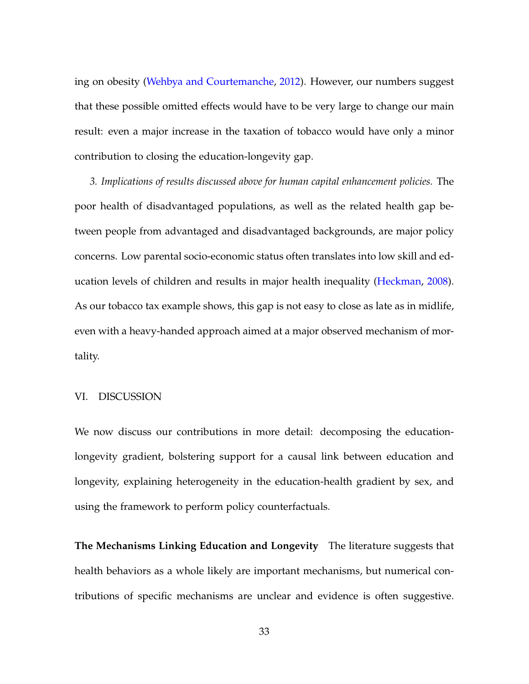ing on obesity [\(Wehbya and Courtemanche,](#page-46-8) [2012\)](#page-46-8). However, our numbers suggest that these possible omitted effects would have to be very large to change our main result: even a major increase in the taxation of tobacco would have only a minor contribution to closing the education-longevity gap.

*3. Implications of results discussed above for human capital enhancement policies.* The poor health of disadvantaged populations, as well as the related health gap between people from advantaged and disadvantaged backgrounds, are major policy concerns. Low parental socio-economic status often translates into low skill and education levels of children and results in major health inequality [\(Heckman,](#page-44-8) [2008\)](#page-44-8). As our tobacco tax example shows, this gap is not easy to close as late as in midlife, even with a heavy-handed approach aimed at a major observed mechanism of mortality.

## VI. DISCUSSION

We now discuss our contributions in more detail: decomposing the educationlongevity gradient, bolstering support for a causal link between education and longevity, explaining heterogeneity in the education-health gradient by sex, and using the framework to perform policy counterfactuals.

**The Mechanisms Linking Education and Longevity** The literature suggests that health behaviors as a whole likely are important mechanisms, but numerical contributions of specific mechanisms are unclear and evidence is often suggestive.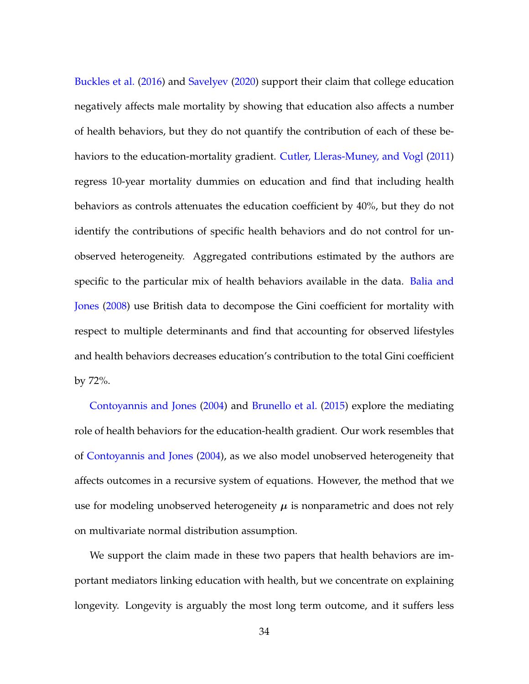[Buckles et al.](#page-42-7) [\(2016\)](#page-42-7) and [Savelyev](#page-46-9) [\(2020\)](#page-46-9) support their claim that college education negatively affects male mortality by showing that education also affects a number of health behaviors, but they do not quantify the contribution of each of these behaviors to the education-mortality gradient. [Cutler, Lleras-Muney, and Vogl](#page-43-7) [\(2011\)](#page-43-7) regress 10-year mortality dummies on education and find that including health behaviors as controls attenuates the education coefficient by 40%, but they do not identify the contributions of specific health behaviors and do not control for unobserved heterogeneity. Aggregated contributions estimated by the authors are specific to the particular mix of health behaviors available in the data. [Balia and](#page-42-8) [Jones](#page-42-8) [\(2008\)](#page-42-8) use British data to decompose the Gini coefficient for mortality with respect to multiple determinants and find that accounting for observed lifestyles and health behaviors decreases education's contribution to the total Gini coefficient by 72%.

[Contoyannis and Jones](#page-43-8) [\(2004\)](#page-43-8) and [Brunello et al.](#page-42-9) [\(2015\)](#page-42-9) explore the mediating role of health behaviors for the education-health gradient. Our work resembles that of [Contoyannis and Jones](#page-43-8) [\(2004\)](#page-43-8), as we also model unobserved heterogeneity that affects outcomes in a recursive system of equations. However, the method that we use for modeling unobserved heterogeneity  $\mu$  is nonparametric and does not rely on multivariate normal distribution assumption.

We support the claim made in these two papers that health behaviors are important mediators linking education with health, but we concentrate on explaining longevity. Longevity is arguably the most long term outcome, and it suffers less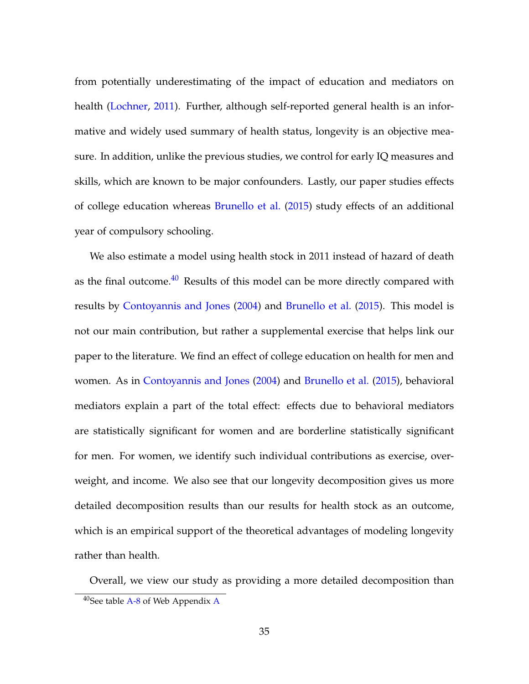from potentially underestimating of the impact of education and mediators on health [\(Lochner,](#page-45-6) [2011\)](#page-45-6). Further, although self-reported general health is an informative and widely used summary of health status, longevity is an objective measure. In addition, unlike the previous studies, we control for early IQ measures and skills, which are known to be major confounders. Lastly, our paper studies effects of college education whereas [Brunello et al.](#page-42-9) [\(2015\)](#page-42-9) study effects of an additional year of compulsory schooling.

We also estimate a model using health stock in 2011 instead of hazard of death as the final outcome. $40$  Results of this model can be more directly compared with results by [Contoyannis and Jones](#page-43-8) [\(2004\)](#page-43-8) and [Brunello et al.](#page-42-9) [\(2015\)](#page-42-9). This model is not our main contribution, but rather a supplemental exercise that helps link our paper to the literature. We find an effect of college education on health for men and women. As in [Contoyannis and Jones](#page-43-8) [\(2004\)](#page-43-8) and [Brunello et al.](#page-42-9) [\(2015\)](#page-42-9), behavioral mediators explain a part of the total effect: effects due to behavioral mediators are statistically significant for women and are borderline statistically significant for men. For women, we identify such individual contributions as exercise, overweight, and income. We also see that our longevity decomposition gives us more detailed decomposition results than our results for health stock as an outcome, which is an empirical support of the theoretical advantages of modeling longevity rather than health.

Overall, we view our study as providing a more detailed decomposition than  $40$ See table [A-8](#page--1-0) of Web [A](#page--1-0)ppendix A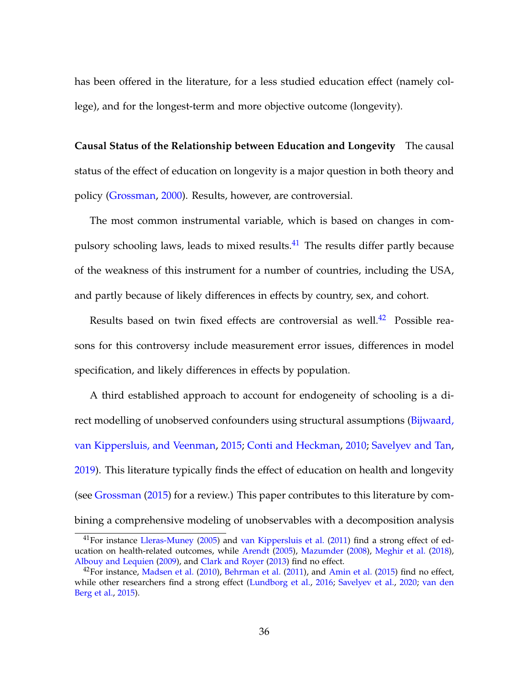has been offered in the literature, for a less studied education effect (namely college), and for the longest-term and more objective outcome (longevity).

**Causal Status of the Relationship between Education and Longevity** The causal status of the effect of education on longevity is a major question in both theory and policy [\(Grossman,](#page-44-9) [2000\)](#page-44-9). Results, however, are controversial.

The most common instrumental variable, which is based on changes in compulsory schooling laws, leads to mixed results.[41](#page--1-0) The results differ partly because of the weakness of this instrument for a number of countries, including the USA, and partly because of likely differences in effects by country, sex, and cohort.

Results based on twin fixed effects are controversial as well.<sup>[42](#page--1-0)</sup> Possible reasons for this controversy include measurement error issues, differences in model specification, and likely differences in effects by population.

A third established approach to account for endogeneity of schooling is a di-rect modelling of unobserved confounders using structural assumptions [\(Bijwaard,](#page-42-4) [van Kippersluis, and Veenman,](#page-42-4) [2015;](#page-42-4) [Conti and Heckman,](#page-43-9) [2010;](#page-43-9) [Savelyev and Tan,](#page-46-10) [2019\)](#page-46-10). This literature typically finds the effect of education on health and longevity (see [Grossman](#page-44-10) [\(2015\)](#page-44-10) for a review.) This paper contributes to this literature by combining a comprehensive modeling of unobservables with a decomposition analysis

<sup>&</sup>lt;sup>41</sup>For instance [Lleras-Muney](#page-45-7) [\(2005\)](#page-45-7) and [van Kippersluis et al.](#page-46-11) [\(2011\)](#page-46-11) find a strong effect of education on health-related outcomes, while [Arendt](#page-42-10) [\(2005\)](#page-42-10), [Mazumder](#page-45-8) [\(2008\)](#page-45-8), [Meghir et al.](#page-45-9) [\(2018\)](#page-45-9), [Albouy and Lequien](#page-41-3) [\(2009\)](#page-41-3), and [Clark and Royer](#page-43-10) [\(2013\)](#page-43-10) find no effect.

 $^{42}$ For instance, [Madsen et al.](#page-45-10) [\(2010\)](#page-45-10), [Behrman et al.](#page-42-11) [\(2011\)](#page-42-11), and [Amin et al.](#page-41-4) [\(2015\)](#page-41-4) find no effect, while other researchers find a strong effect [\(Lundborg et al.,](#page-45-11) [2016;](#page-45-11) [Savelyev et al.,](#page-46-12) [2020;](#page-46-12) [van den](#page-46-13) [Berg et al.,](#page-46-13) [2015\)](#page-46-13).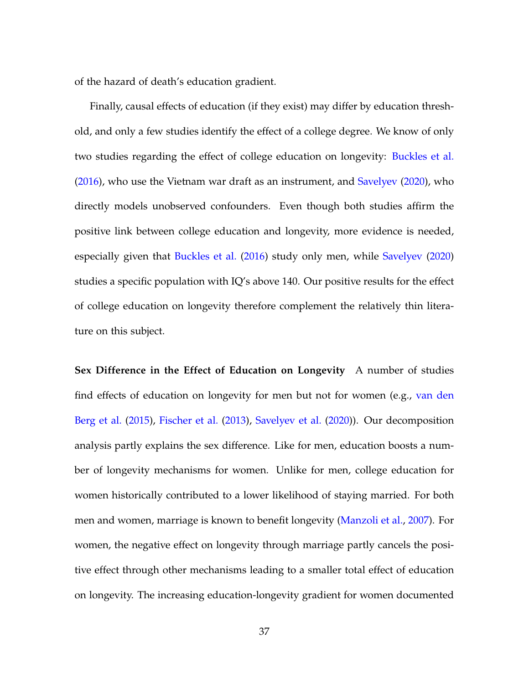of the hazard of death's education gradient.

Finally, causal effects of education (if they exist) may differ by education threshold, and only a few studies identify the effect of a college degree. We know of only two studies regarding the effect of college education on longevity: [Buckles et al.](#page-42-7) [\(2016\)](#page-42-7), who use the Vietnam war draft as an instrument, and [Savelyev](#page-46-9) [\(2020\)](#page-46-9), who directly models unobserved confounders. Even though both studies affirm the positive link between college education and longevity, more evidence is needed, especially given that [Buckles et al.](#page-42-7) [\(2016\)](#page-42-7) study only men, while [Savelyev](#page-46-9) [\(2020\)](#page-46-9) studies a specific population with IQ's above 140. Our positive results for the effect of college education on longevity therefore complement the relatively thin literature on this subject.

**Sex Difference in the Effect of Education on Longevity** A number of studies find effects of education on longevity for men but not for women (e.g., [van den](#page-46-13) [Berg et al.](#page-46-13) [\(2015\)](#page-46-13), [Fischer et al.](#page-43-11) [\(2013\)](#page-43-11), [Savelyev et al.](#page-46-12) [\(2020\)](#page-46-12)). Our decomposition analysis partly explains the sex difference. Like for men, education boosts a number of longevity mechanisms for women. Unlike for men, college education for women historically contributed to a lower likelihood of staying married. For both men and women, marriage is known to benefit longevity [\(Manzoli et al.,](#page-45-12) [2007\)](#page-45-12). For women, the negative effect on longevity through marriage partly cancels the positive effect through other mechanisms leading to a smaller total effect of education on longevity. The increasing education-longevity gradient for women documented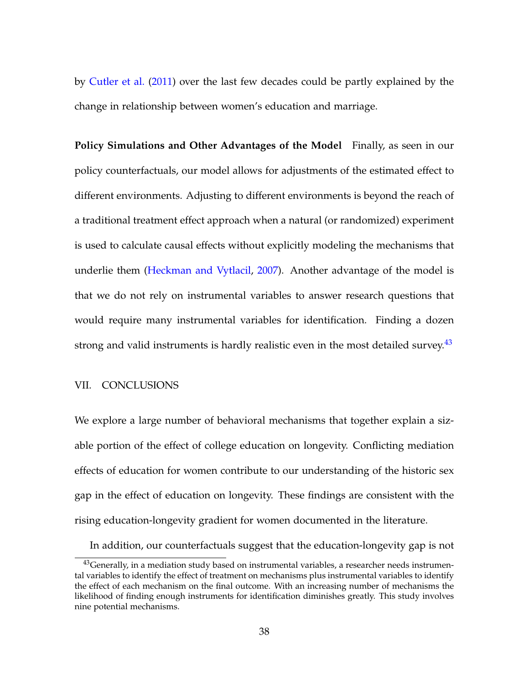by [Cutler et al.](#page-43-12) [\(2011\)](#page-43-12) over the last few decades could be partly explained by the change in relationship between women's education and marriage.

**Policy Simulations and Other Advantages of the Model** Finally, as seen in our policy counterfactuals, our model allows for adjustments of the estimated effect to different environments. Adjusting to different environments is beyond the reach of a traditional treatment effect approach when a natural (or randomized) experiment is used to calculate causal effects without explicitly modeling the mechanisms that underlie them [\(Heckman and Vytlacil,](#page-44-11) [2007\)](#page-44-11). Another advantage of the model is that we do not rely on instrumental variables to answer research questions that would require many instrumental variables for identification. Finding a dozen strong and valid instruments is hardly realistic even in the most detailed survey. $43$ 

### VII. CONCLUSIONS

We explore a large number of behavioral mechanisms that together explain a sizable portion of the effect of college education on longevity. Conflicting mediation effects of education for women contribute to our understanding of the historic sex gap in the effect of education on longevity. These findings are consistent with the rising education-longevity gradient for women documented in the literature.

In addition, our counterfactuals suggest that the education-longevity gap is not

<sup>&</sup>lt;sup>43</sup>Generally, in a mediation study based on instrumental variables, a researcher needs instrumental variables to identify the effect of treatment on mechanisms plus instrumental variables to identify the effect of each mechanism on the final outcome. With an increasing number of mechanisms the likelihood of finding enough instruments for identification diminishes greatly. This study involves nine potential mechanisms.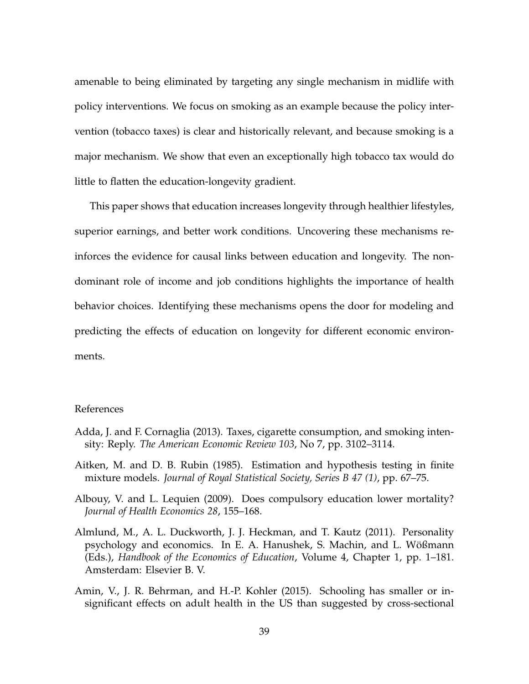amenable to being eliminated by targeting any single mechanism in midlife with policy interventions. We focus on smoking as an example because the policy intervention (tobacco taxes) is clear and historically relevant, and because smoking is a major mechanism. We show that even an exceptionally high tobacco tax would do little to flatten the education-longevity gradient.

This paper shows that education increases longevity through healthier lifestyles, superior earnings, and better work conditions. Uncovering these mechanisms reinforces the evidence for causal links between education and longevity. The nondominant role of income and job conditions highlights the importance of health behavior choices. Identifying these mechanisms opens the door for modeling and predicting the effects of education on longevity for different economic environments.

### References

- <span id="page-41-2"></span>Adda, J. and F. Cornaglia (2013). Taxes, cigarette consumption, and smoking intensity: Reply. *The American Economic Review 103*, No 7, pp. 3102–3114.
- <span id="page-41-1"></span>Aitken, M. and D. B. Rubin (1985). Estimation and hypothesis testing in finite mixture models. *Journal of Royal Statistical Society, Series B 47 (1)*, pp. 67–75.
- <span id="page-41-3"></span>Albouy, V. and L. Lequien (2009). Does compulsory education lower mortality? *Journal of Health Economics 28*, 155–168.
- <span id="page-41-0"></span>Almlund, M., A. L. Duckworth, J. J. Heckman, and T. Kautz (2011). Personality psychology and economics. In E. A. Hanushek, S. Machin, and L. Wößmann (Eds.), *Handbook of the Economics of Education*, Volume 4, Chapter 1, pp. 1–181. Amsterdam: Elsevier B. V.
- <span id="page-41-4"></span>Amin, V., J. R. Behrman, and H.-P. Kohler (2015). Schooling has smaller or insignificant effects on adult health in the US than suggested by cross-sectional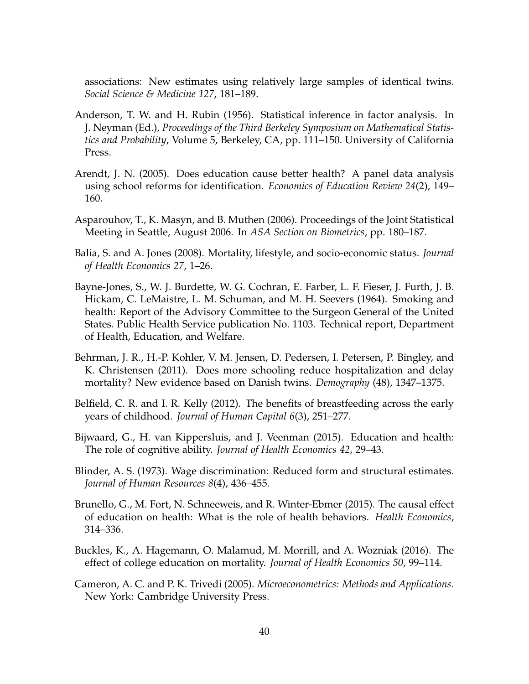associations: New estimates using relatively large samples of identical twins. *Social Science & Medicine 127*, 181–189.

- <span id="page-42-5"></span>Anderson, T. W. and H. Rubin (1956). Statistical inference in factor analysis. In J. Neyman (Ed.), *Proceedings of the Third Berkeley Symposium on Mathematical Statistics and Probability*, Volume 5, Berkeley, CA, pp. 111–150. University of California Press.
- <span id="page-42-10"></span>Arendt, J. N. (2005). Does education cause better health? A panel data analysis using school reforms for identification. *Economics of Education Review 24*(2), 149– 160.
- <span id="page-42-3"></span>Asparouhov, T., K. Masyn, and B. Muthen (2006). Proceedings of the Joint Statistical Meeting in Seattle, August 2006. In *ASA Section on Biometrics*, pp. 180–187.
- <span id="page-42-8"></span>Balia, S. and A. Jones (2008). Mortality, lifestyle, and socio-economic status. *Journal of Health Economics 27*, 1–26.
- <span id="page-42-0"></span>Bayne-Jones, S., W. J. Burdette, W. G. Cochran, E. Farber, L. F. Fieser, J. Furth, J. B. Hickam, C. LeMaistre, L. M. Schuman, and M. H. Seevers (1964). Smoking and health: Report of the Advisory Committee to the Surgeon General of the United States. Public Health Service publication No. 1103. Technical report, Department of Health, Education, and Welfare.
- <span id="page-42-11"></span>Behrman, J. R., H.-P. Kohler, V. M. Jensen, D. Pedersen, I. Petersen, P. Bingley, and K. Christensen (2011). Does more schooling reduce hospitalization and delay mortality? New evidence based on Danish twins. *Demography* (48), 1347–1375.
- <span id="page-42-1"></span>Belfield, C. R. and I. R. Kelly (2012). The benefits of breastfeeding across the early years of childhood. *Journal of Human Capital 6*(3), 251–277.
- <span id="page-42-4"></span>Bijwaard, G., H. van Kippersluis, and J. Veenman (2015). Education and health: The role of cognitive ability. *Journal of Health Economics 42*, 29–43.
- <span id="page-42-6"></span>Blinder, A. S. (1973). Wage discrimination: Reduced form and structural estimates. *Journal of Human Resources 8*(4), 436–455.
- <span id="page-42-9"></span>Brunello, G., M. Fort, N. Schneeweis, and R. Winter-Ebmer (2015). The causal effect of education on health: What is the role of health behaviors. *Health Economics*, 314–336.
- <span id="page-42-7"></span>Buckles, K., A. Hagemann, O. Malamud, M. Morrill, and A. Wozniak (2016). The effect of college education on mortality. *Journal of Health Economics 50*, 99–114.
- <span id="page-42-2"></span>Cameron, A. C. and P. K. Trivedi (2005). *Microeconometrics: Methods and Applications*. New York: Cambridge University Press.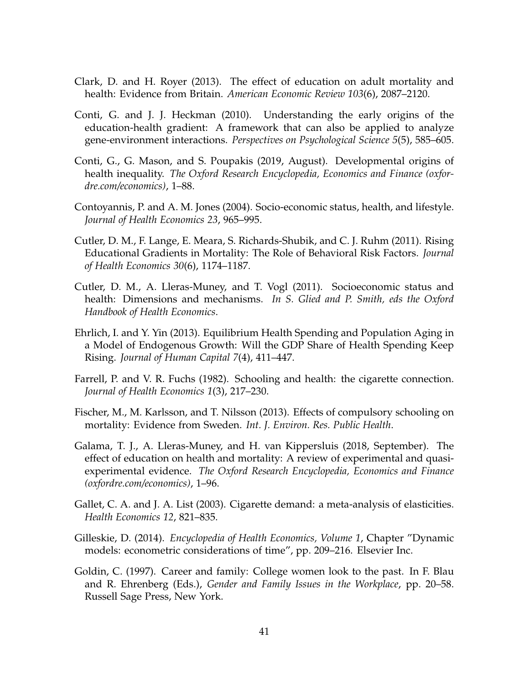- <span id="page-43-10"></span>Clark, D. and H. Royer (2013). The effect of education on adult mortality and health: Evidence from Britain. *American Economic Review 103*(6), 2087–2120.
- <span id="page-43-9"></span>Conti, G. and J. J. Heckman (2010). Understanding the early origins of the education-health gradient: A framework that can also be applied to analyze gene-environment interactions. *Perspectives on Psychological Science 5*(5), 585–605.
- <span id="page-43-1"></span>Conti, G., G. Mason, and S. Poupakis (2019, August). Developmental origins of health inequality. *The Oxford Research Encyclopedia, Economics and Finance (oxfordre.com/economics)*, 1–88.
- <span id="page-43-8"></span>Contoyannis, P. and A. M. Jones (2004). Socio-economic status, health, and lifestyle. *Journal of Health Economics 23*, 965–995.
- <span id="page-43-12"></span>Cutler, D. M., F. Lange, E. Meara, S. Richards-Shubik, and C. J. Ruhm (2011). Rising Educational Gradients in Mortality: The Role of Behavioral Risk Factors. *Journal of Health Economics 30*(6), 1174–1187.
- <span id="page-43-7"></span>Cutler, D. M., A. Lleras-Muney, and T. Vogl (2011). Socioeconomic status and health: Dimensions and mechanisms. *In S. Glied and P. Smith, eds the Oxford Handbook of Health Economics*.
- <span id="page-43-2"></span>Ehrlich, I. and Y. Yin (2013). Equilibrium Health Spending and Population Aging in a Model of Endogenous Growth: Will the GDP Share of Health Spending Keep Rising. *Journal of Human Capital 7*(4), 411–447.
- <span id="page-43-4"></span>Farrell, P. and V. R. Fuchs (1982). Schooling and health: the cigarette connection. *Journal of Health Economics 1*(3), 217–230.
- <span id="page-43-11"></span>Fischer, M., M. Karlsson, and T. Nilsson (2013). Effects of compulsory schooling on mortality: Evidence from Sweden. *Int. J. Environ. Res. Public Health*.
- <span id="page-43-0"></span>Galama, T. J., A. Lleras-Muney, and H. van Kippersluis (2018, September). The effect of education on health and mortality: A review of experimental and quasiexperimental evidence. *The Oxford Research Encyclopedia, Economics and Finance (oxfordre.com/economics)*, 1–96.
- <span id="page-43-6"></span>Gallet, C. A. and J. A. List (2003). Cigarette demand: a meta-analysis of elasticities. *Health Economics 12*, 821–835.
- <span id="page-43-3"></span>Gilleskie, D. (2014). *Encyclopedia of Health Economics, Volume 1*, Chapter "Dynamic models: econometric considerations of time", pp. 209–216. Elsevier Inc.
- <span id="page-43-5"></span>Goldin, C. (1997). Career and family: College women look to the past. In F. Blau and R. Ehrenberg (Eds.), *Gender and Family Issues in the Workplace*, pp. 20–58. Russell Sage Press, New York.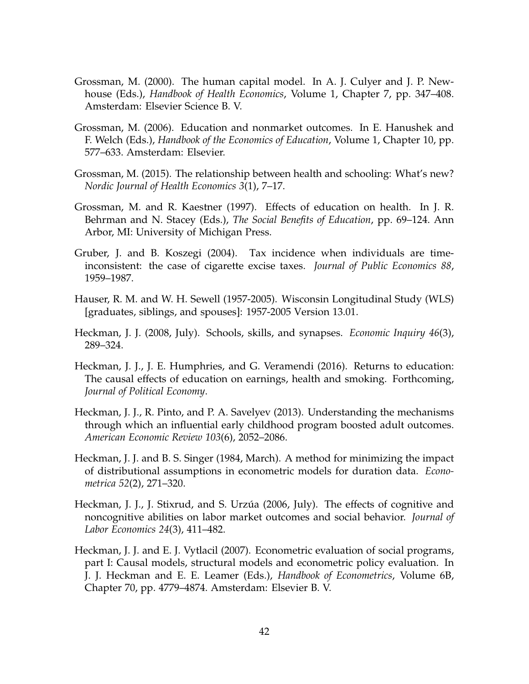- <span id="page-44-9"></span>Grossman, M. (2000). The human capital model. In A. J. Culyer and J. P. Newhouse (Eds.), *Handbook of Health Economics*, Volume 1, Chapter 7, pp. 347–408. Amsterdam: Elsevier Science B. V.
- <span id="page-44-5"></span>Grossman, M. (2006). Education and nonmarket outcomes. In E. Hanushek and F. Welch (Eds.), *Handbook of the Economics of Education*, Volume 1, Chapter 10, pp. 577–633. Amsterdam: Elsevier.
- <span id="page-44-10"></span>Grossman, M. (2015). The relationship between health and schooling: What's new? *Nordic Journal of Health Economics 3*(1), 7–17.
- <span id="page-44-6"></span>Grossman, M. and R. Kaestner (1997). Effects of education on health. In J. R. Behrman and N. Stacey (Eds.), *The Social Benefits of Education*, pp. 69–124. Ann Arbor, MI: University of Michigan Press.
- <span id="page-44-7"></span>Gruber, J. and B. Koszegi (2004). Tax incidence when individuals are timeinconsistent: the case of cigarette excise taxes. *Journal of Public Economics 88*, 1959–1987.
- <span id="page-44-2"></span>Hauser, R. M. and W. H. Sewell (1957-2005). Wisconsin Longitudinal Study (WLS) [graduates, siblings, and spouses]: 1957-2005 Version 13.01.
- <span id="page-44-8"></span>Heckman, J. J. (2008, July). Schools, skills, and synapses. *Economic Inquiry 46*(3), 289–324.
- <span id="page-44-4"></span>Heckman, J. J., J. E. Humphries, and G. Veramendi (2016). Returns to education: The causal effects of education on earnings, health and smoking. Forthcoming, *Journal of Political Economy*.
- <span id="page-44-3"></span>Heckman, J. J., R. Pinto, and P. A. Savelyev (2013). Understanding the mechanisms through which an influential early childhood program boosted adult outcomes. *American Economic Review 103*(6), 2052–2086.
- <span id="page-44-1"></span>Heckman, J. J. and B. S. Singer (1984, March). A method for minimizing the impact of distributional assumptions in econometric models for duration data. *Econometrica 52*(2), 271–320.
- <span id="page-44-0"></span>Heckman, J. J., J. Stixrud, and S. Urzúa (2006, July). The effects of cognitive and noncognitive abilities on labor market outcomes and social behavior. *Journal of Labor Economics 24*(3), 411–482.
- <span id="page-44-11"></span>Heckman, J. J. and E. J. Vytlacil (2007). Econometric evaluation of social programs, part I: Causal models, structural models and econometric policy evaluation. In J. J. Heckman and E. E. Leamer (Eds.), *Handbook of Econometrics*, Volume 6B, Chapter 70, pp. 4779–4874. Amsterdam: Elsevier B. V.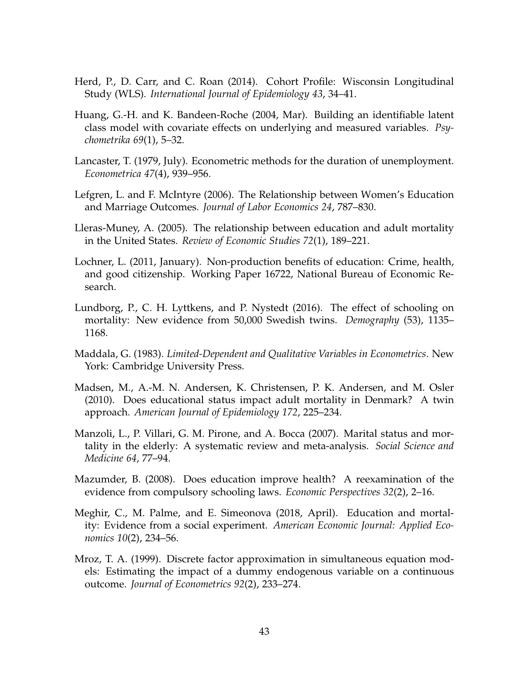- <span id="page-45-2"></span>Herd, P., D. Carr, and C. Roan (2014). Cohort Profile: Wisconsin Longitudinal Study (WLS). *International Journal of Epidemiology 43*, 34–41.
- <span id="page-45-4"></span>Huang, G.-H. and K. Bandeen-Roche (2004, Mar). Building an identifiable latent class model with covariate effects on underlying and measured variables. *Psychometrika 69*(1), 5–32.
- <span id="page-45-5"></span>Lancaster, T. (1979, July). Econometric methods for the duration of unemployment. *Econometrica 47*(4), 939–956.
- <span id="page-45-1"></span>Lefgren, L. and F. McIntyre (2006). The Relationship between Women's Education and Marriage Outcomes. *Journal of Labor Economics 24*, 787–830.
- <span id="page-45-7"></span>Lleras-Muney, A. (2005). The relationship between education and adult mortality in the United States. *Review of Economic Studies 72*(1), 189–221.
- <span id="page-45-6"></span>Lochner, L. (2011, January). Non-production benefits of education: Crime, health, and good citizenship. Working Paper 16722, National Bureau of Economic Research.
- <span id="page-45-11"></span>Lundborg, P., C. H. Lyttkens, and P. Nystedt (2016). The effect of schooling on mortality: New evidence from 50,000 Swedish twins. *Demography* (53), 1135– 1168.
- <span id="page-45-3"></span>Maddala, G. (1983). *Limited-Dependent and Qualitative Variables in Econometrics*. New York: Cambridge University Press.
- <span id="page-45-10"></span>Madsen, M., A.-M. N. Andersen, K. Christensen, P. K. Andersen, and M. Osler (2010). Does educational status impact adult mortality in Denmark? A twin approach. *American Journal of Epidemiology 172*, 225–234.
- <span id="page-45-12"></span>Manzoli, L., P. Villari, G. M. Pirone, and A. Bocca (2007). Marital status and mortality in the elderly: A systematic review and meta-analysis. *Social Science and Medicine 64*, 77–94.
- <span id="page-45-8"></span>Mazumder, B. (2008). Does education improve health? A reexamination of the evidence from compulsory schooling laws. *Economic Perspectives 32*(2), 2–16.
- <span id="page-45-9"></span>Meghir, C., M. Palme, and E. Simeonova (2018, April). Education and mortality: Evidence from a social experiment. *American Economic Journal: Applied Economics 10*(2), 234–56.
- <span id="page-45-0"></span>Mroz, T. A. (1999). Discrete factor approximation in simultaneous equation models: Estimating the impact of a dummy endogenous variable on a continuous outcome. *Journal of Econometrics 92*(2), 233–274.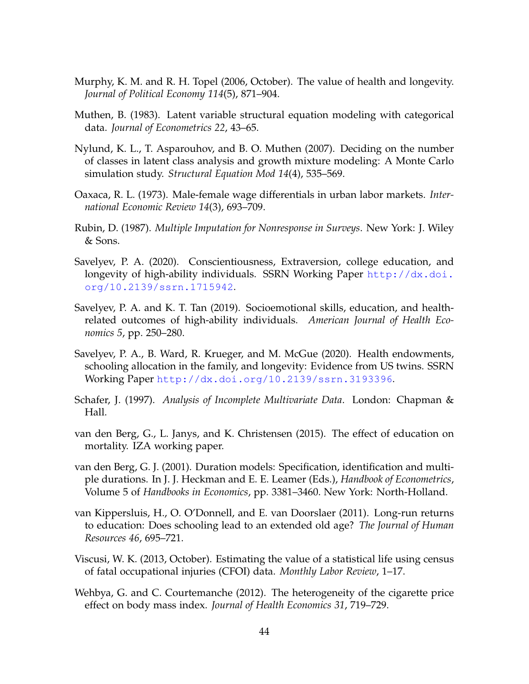- <span id="page-46-0"></span>Murphy, K. M. and R. H. Topel (2006, October). The value of health and longevity. *Journal of Political Economy 114*(5), 871–904.
- <span id="page-46-3"></span>Muthen, B. (1983). Latent variable structural equation modeling with categorical data. *Journal of Econometrics 22*, 43–65.
- <span id="page-46-1"></span>Nylund, K. L., T. Asparouhov, and B. O. Muthen (2007). Deciding on the number of classes in latent class analysis and growth mixture modeling: A Monte Carlo simulation study. *Structural Equation Mod 14*(4), 535–569.
- <span id="page-46-6"></span>Oaxaca, R. L. (1973). Male-female wage differentials in urban labor markets. *International Economic Review 14*(3), 693–709.
- <span id="page-46-4"></span>Rubin, D. (1987). *Multiple Imputation for Nonresponse in Surveys*. New York: J. Wiley & Sons.
- <span id="page-46-9"></span>Savelyev, P. A. (2020). Conscientiousness, Extraversion, college education, and longevity of high-ability individuals. SSRN Working Paper [http://dx.doi.](http://dx.doi.org/10.2139/ssrn.1715942) [org/10.2139/ssrn.1715942](http://dx.doi.org/10.2139/ssrn.1715942).
- <span id="page-46-10"></span>Savelyev, P. A. and K. T. Tan (2019). Socioemotional skills, education, and healthrelated outcomes of high-ability individuals. *American Journal of Health Economics 5*, pp. 250–280.
- <span id="page-46-12"></span>Savelyev, P. A., B. Ward, R. Krueger, and M. McGue (2020). Health endowments, schooling allocation in the family, and longevity: Evidence from US twins. SSRN Working Paper <http://dx.doi.org/10.2139/ssrn.3193396>.
- <span id="page-46-5"></span>Schafer, J. (1997). *Analysis of Incomplete Multivariate Data*. London: Chapman & Hall.
- <span id="page-46-13"></span>van den Berg, G., L. Janys, and K. Christensen (2015). The effect of education on mortality. IZA working paper.
- <span id="page-46-2"></span>van den Berg, G. J. (2001). Duration models: Specification, identification and multiple durations. In J. J. Heckman and E. E. Leamer (Eds.), *Handbook of Econometrics*, Volume 5 of *Handbooks in Economics*, pp. 3381–3460. New York: North-Holland.
- <span id="page-46-11"></span>van Kippersluis, H., O. O'Donnell, and E. van Doorslaer (2011). Long-run returns to education: Does schooling lead to an extended old age? *The Journal of Human Resources 46*, 695–721.
- <span id="page-46-7"></span>Viscusi, W. K. (2013, October). Estimating the value of a statistical life using census of fatal occupational injuries (CFOI) data. *Monthly Labor Review*, 1–17.
- <span id="page-46-8"></span>Wehbya, G. and C. Courtemanche (2012). The heterogeneity of the cigarette price effect on body mass index. *Journal of Health Economics 31*, 719–729.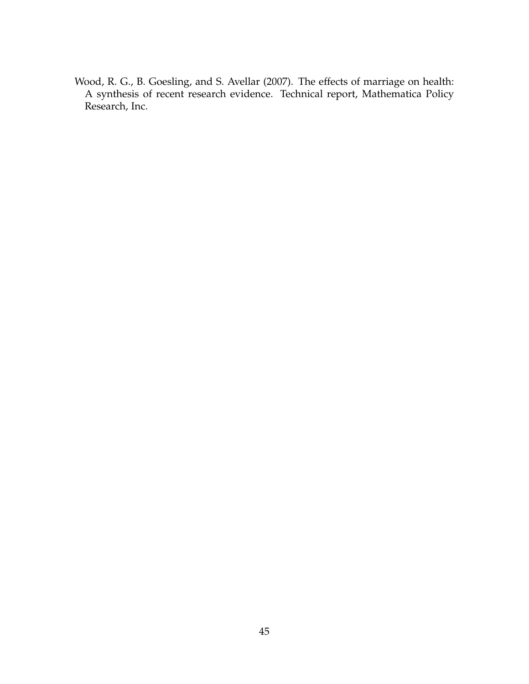<span id="page-47-0"></span>Wood, R. G., B. Goesling, and S. Avellar (2007). The effects of marriage on health: A synthesis of recent research evidence. Technical report, Mathematica Policy Research, Inc.